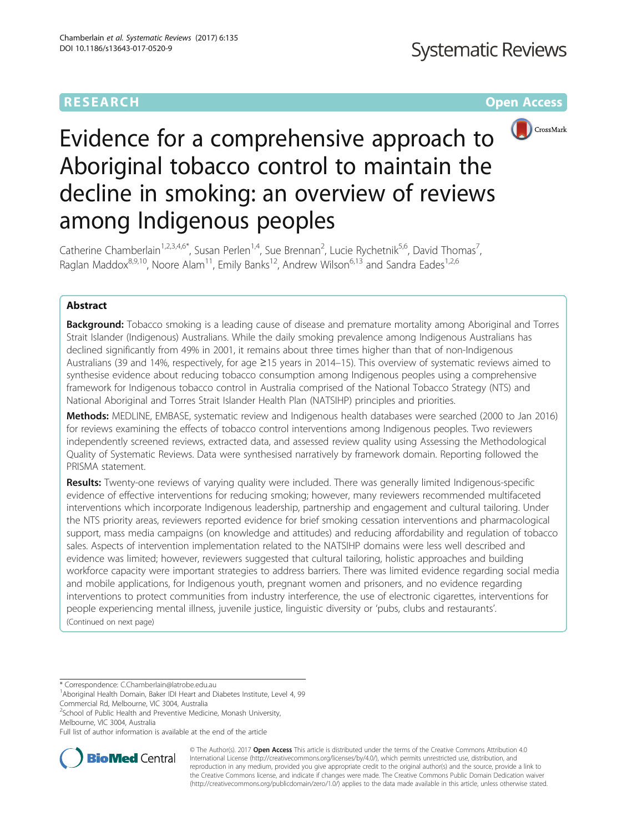# **RESEARCH CHEAR CHEAR CHEAR CHEAR CHEAR CHEAR CHEAR CHEAR CHEAR CHEAR CHEAR CHEAR CHEAR CHEAR CHEAR CHEAR CHEAR**



# Evidence for a comprehensive approach to Aboriginal tobacco control to maintain the decline in smoking: an overview of reviews among Indigenous peoples

Catherine Chamberlain<sup>1,2,3,4,6\*</sup>, Susan Perlen<sup>1,4</sup>, Sue Brennan<sup>2</sup>, Lucie Rychetnik<sup>5,6</sup>, David Thomas<sup>7</sup> , Raglan Maddox<sup>8,9,10</sup>, Noore Alam<sup>11</sup>, Emily Banks<sup>12</sup>, Andrew Wilson<sup>6,13</sup> and Sandra Eades<sup>1,2,6</sup>

# Abstract

**Background:** Tobacco smoking is a leading cause of disease and premature mortality among Aboriginal and Torres Strait Islander (Indigenous) Australians. While the daily smoking prevalence among Indigenous Australians has declined significantly from 49% in 2001, it remains about three times higher than that of non-Indigenous Australians (39 and 14%, respectively, for age ≥15 years in 2014–15). This overview of systematic reviews aimed to synthesise evidence about reducing tobacco consumption among Indigenous peoples using a comprehensive framework for Indigenous tobacco control in Australia comprised of the National Tobacco Strategy (NTS) and National Aboriginal and Torres Strait Islander Health Plan (NATSIHP) principles and priorities.

Methods: MEDLINE, EMBASE, systematic review and Indigenous health databases were searched (2000 to Jan 2016) for reviews examining the effects of tobacco control interventions among Indigenous peoples. Two reviewers independently screened reviews, extracted data, and assessed review quality using Assessing the Methodological Quality of Systematic Reviews. Data were synthesised narratively by framework domain. Reporting followed the PRISMA statement.

Results: Twenty-one reviews of varying quality were included. There was generally limited Indigenous-specific evidence of effective interventions for reducing smoking; however, many reviewers recommended multifaceted interventions which incorporate Indigenous leadership, partnership and engagement and cultural tailoring. Under the NTS priority areas, reviewers reported evidence for brief smoking cessation interventions and pharmacological support, mass media campaigns (on knowledge and attitudes) and reducing affordability and regulation of tobacco sales. Aspects of intervention implementation related to the NATSIHP domains were less well described and evidence was limited; however, reviewers suggested that cultural tailoring, holistic approaches and building workforce capacity were important strategies to address barriers. There was limited evidence regarding social media and mobile applications, for Indigenous youth, pregnant women and prisoners, and no evidence regarding interventions to protect communities from industry interference, the use of electronic cigarettes, interventions for people experiencing mental illness, juvenile justice, linguistic diversity or 'pubs, clubs and restaurants'. (Continued on next page)

<sup>2</sup>School of Public Health and Preventive Medicine, Monash University, Melbourne, VIC 3004, Australia

Full list of author information is available at the end of the article



© The Author(s). 2017 **Open Access** This article is distributed under the terms of the Creative Commons Attribution 4.0 International License [\(http://creativecommons.org/licenses/by/4.0/](http://creativecommons.org/licenses/by/4.0/)), which permits unrestricted use, distribution, and reproduction in any medium, provided you give appropriate credit to the original author(s) and the source, provide a link to the Creative Commons license, and indicate if changes were made. The Creative Commons Public Domain Dedication waiver [\(http://creativecommons.org/publicdomain/zero/1.0/](http://creativecommons.org/publicdomain/zero/1.0/)) applies to the data made available in this article, unless otherwise stated.

<sup>\*</sup> Correspondence: [C.Chamberlain@latrobe.edu.au](mailto:C.Chamberlain@latrobe.edu.au) <sup>1</sup>

<sup>&</sup>lt;sup>1</sup> Aboriginal Health Domain, Baker IDI Heart and Diabetes Institute, Level 4, 99 Commercial Rd, Melbourne, VIC 3004, Australia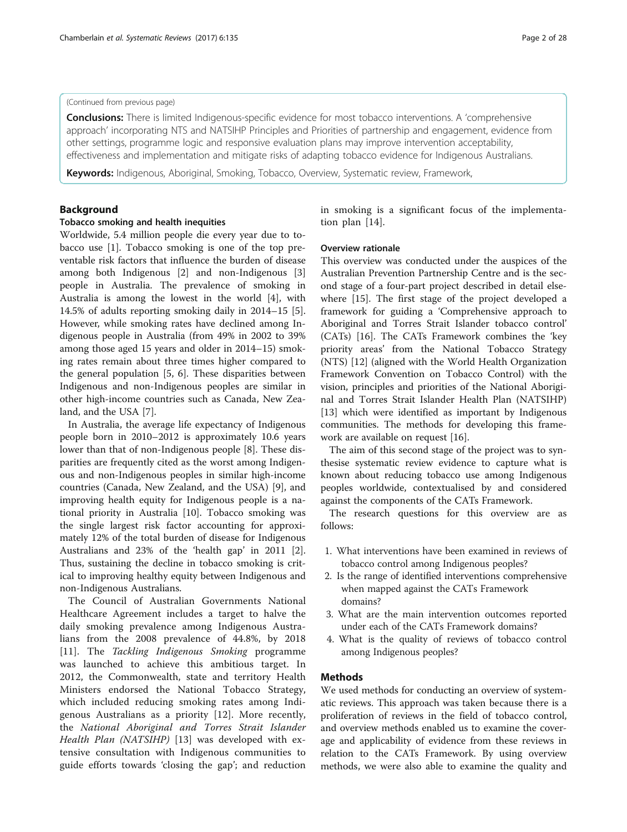## (Continued from previous page)

**Conclusions:** There is limited Indigenous-specific evidence for most tobacco interventions. A 'comprehensive approach' incorporating NTS and NATSIHP Principles and Priorities of partnership and engagement, evidence from other settings, programme logic and responsive evaluation plans may improve intervention acceptability, effectiveness and implementation and mitigate risks of adapting tobacco evidence for Indigenous Australians.

Keywords: Indigenous, Aboriginal, Smoking, Tobacco, Overview, Systematic review, Framework,

# Background

# Tobacco smoking and health inequities

Worldwide, 5.4 million people die every year due to tobacco use [\[1\]](#page-25-0). Tobacco smoking is one of the top preventable risk factors that influence the burden of disease among both Indigenous [\[2](#page-25-0)] and non-Indigenous [\[3](#page-25-0)] people in Australia. The prevalence of smoking in Australia is among the lowest in the world [\[4\]](#page-25-0), with 14.5% of adults reporting smoking daily in 2014–15 [\[5](#page-25-0)]. However, while smoking rates have declined among Indigenous people in Australia (from 49% in 2002 to 39% among those aged 15 years and older in 2014–15) smoking rates remain about three times higher compared to the general population [\[5](#page-25-0), [6\]](#page-25-0). These disparities between Indigenous and non-Indigenous peoples are similar in other high-income countries such as Canada, New Zealand, and the USA [\[7](#page-25-0)].

In Australia, the average life expectancy of Indigenous people born in 2010–2012 is approximately 10.6 years lower than that of non-Indigenous people [[8\]](#page-25-0). These disparities are frequently cited as the worst among Indigenous and non-Indigenous peoples in similar high-income countries (Canada, New Zealand, and the USA) [[9\]](#page-25-0), and improving health equity for Indigenous people is a national priority in Australia [[10\]](#page-25-0). Tobacco smoking was the single largest risk factor accounting for approximately 12% of the total burden of disease for Indigenous Australians and 23% of the 'health gap' in 2011 [\[2](#page-25-0)]. Thus, sustaining the decline in tobacco smoking is critical to improving healthy equity between Indigenous and non-Indigenous Australians.

The Council of Australian Governments National Healthcare Agreement includes a target to halve the daily smoking prevalence among Indigenous Australians from the 2008 prevalence of 44.8%, by 2018 [[11\]](#page-25-0). The Tackling Indigenous Smoking programme was launched to achieve this ambitious target. In 2012, the Commonwealth, state and territory Health Ministers endorsed the National Tobacco Strategy, which included reducing smoking rates among Indigenous Australians as a priority [[12\]](#page-25-0). More recently, the National Aboriginal and Torres Strait Islander Health Plan (NATSIHP) [\[13](#page-26-0)] was developed with extensive consultation with Indigenous communities to guide efforts towards 'closing the gap'; and reduction

in smoking is a significant focus of the implementation plan [\[14](#page-26-0)].

## Overview rationale

This overview was conducted under the auspices of the Australian Prevention Partnership Centre and is the second stage of a four-part project described in detail elsewhere [\[15](#page-26-0)]. The first stage of the project developed a framework for guiding a 'Comprehensive approach to Aboriginal and Torres Strait Islander tobacco control' (CATs) [[16\]](#page-26-0). The CATs Framework combines the 'key priority areas' from the National Tobacco Strategy (NTS) [[12](#page-25-0)] (aligned with the World Health Organization Framework Convention on Tobacco Control) with the vision, principles and priorities of the National Aboriginal and Torres Strait Islander Health Plan (NATSIHP) [[13\]](#page-26-0) which were identified as important by Indigenous communities. The methods for developing this framework are available on request [[16\]](#page-26-0).

The aim of this second stage of the project was to synthesise systematic review evidence to capture what is known about reducing tobacco use among Indigenous peoples worldwide, contextualised by and considered against the components of the CATs Framework.

The research questions for this overview are as follows:

- 1. What interventions have been examined in reviews of tobacco control among Indigenous peoples?
- 2. Is the range of identified interventions comprehensive when mapped against the CATs Framework domains?
- 3. What are the main intervention outcomes reported under each of the CATs Framework domains?
- 4. What is the quality of reviews of tobacco control among Indigenous peoples?

# Methods

We used methods for conducting an overview of systematic reviews. This approach was taken because there is a proliferation of reviews in the field of tobacco control, and overview methods enabled us to examine the coverage and applicability of evidence from these reviews in relation to the CATs Framework. By using overview methods, we were also able to examine the quality and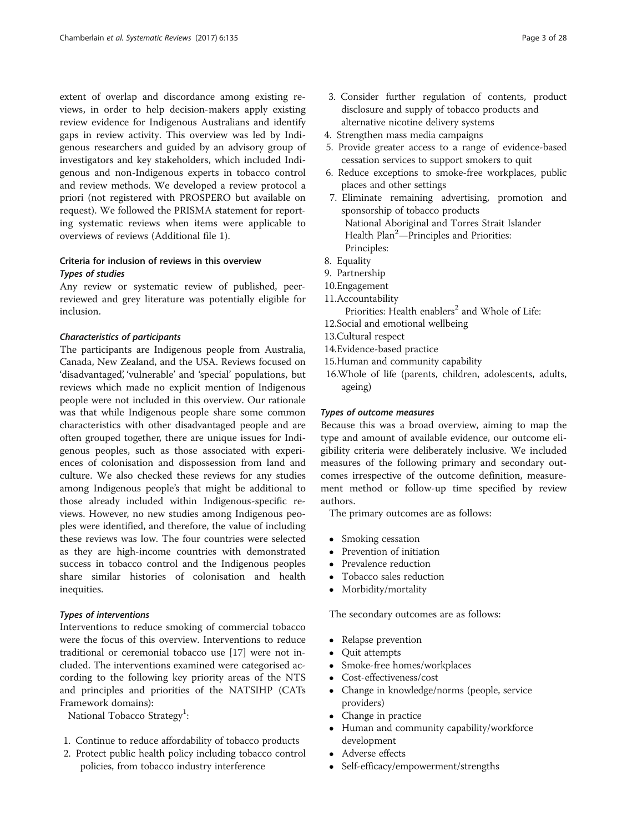extent of overlap and discordance among existing reviews, in order to help decision-makers apply existing review evidence for Indigenous Australians and identify gaps in review activity. This overview was led by Indigenous researchers and guided by an advisory group of investigators and key stakeholders, which included Indigenous and non-Indigenous experts in tobacco control and review methods. We developed a review protocol a priori (not registered with PROSPERO but available on request). We followed the PRISMA statement for reporting systematic reviews when items were applicable to overviews of reviews (Additional file [1](#page-25-0)).

# Criteria for inclusion of reviews in this overview Types of studies

Any review or systematic review of published, peerreviewed and grey literature was potentially eligible for inclusion.

# Characteristics of participants

The participants are Indigenous people from Australia, Canada, New Zealand, and the USA. Reviews focused on 'disadvantaged', 'vulnerable' and 'special' populations, but reviews which made no explicit mention of Indigenous people were not included in this overview. Our rationale was that while Indigenous people share some common characteristics with other disadvantaged people and are often grouped together, there are unique issues for Indigenous peoples, such as those associated with experiences of colonisation and dispossession from land and culture. We also checked these reviews for any studies among Indigenous people's that might be additional to those already included within Indigenous-specific reviews. However, no new studies among Indigenous peoples were identified, and therefore, the value of including these reviews was low. The four countries were selected as they are high-income countries with demonstrated success in tobacco control and the Indigenous peoples share similar histories of colonisation and health inequities.

# Types of interventions

Interventions to reduce smoking of commercial tobacco were the focus of this overview. Interventions to reduce traditional or ceremonial tobacco use [\[17\]](#page-26-0) were not included. The interventions examined were categorised according to the following key priority areas of the NTS and principles and priorities of the NATSIHP (CATs Framework domains):

National Tobacco Strategy<sup>1</sup>:

- 1. Continue to reduce affordability of tobacco products
- 2. Protect public health policy including tobacco control policies, from tobacco industry interference
- 3. Consider further regulation of contents, product disclosure and supply of tobacco products and alternative nicotine delivery systems
- 4. Strengthen mass media campaigns
- 5. Provide greater access to a range of evidence-based cessation services to support smokers to quit
- 6. Reduce exceptions to smoke-free workplaces, public places and other settings
- 7. Eliminate remaining advertising, promotion and sponsorship of tobacco products National Aboriginal and Torres Strait Islander Health Plan<sup>2</sup>-Principles and Priorities: Principles:
- 8. Equality
- 9. Partnership
- 10.Engagement
- 11.Accountability
	- Priorities: Health enablers<sup>2</sup> and Whole of Life:
- 12.Social and emotional wellbeing
- 13.Cultural respect
- 14.Evidence-based practice
- 15.Human and community capability
- 16.Whole of life (parents, children, adolescents, adults, ageing)

# Types of outcome measures

Because this was a broad overview, aiming to map the type and amount of available evidence, our outcome eligibility criteria were deliberately inclusive. We included measures of the following primary and secondary outcomes irrespective of the outcome definition, measurement method or follow-up time specified by review authors.

The primary outcomes are as follows:

- Smoking cessation
- Prevention of initiation
- Prevalence reduction
- Tobacco sales reduction
- Morbidity/mortality

The secondary outcomes are as follows:

- Relapse prevention
- Quit attempts
- Smoke-free homes/workplaces
- Cost-effectiveness/cost
- Change in knowledge/norms (people, service providers)
- Change in practice
- Human and community capability/workforce development
- Adverse effects
- Self-efficacy/empowerment/strengths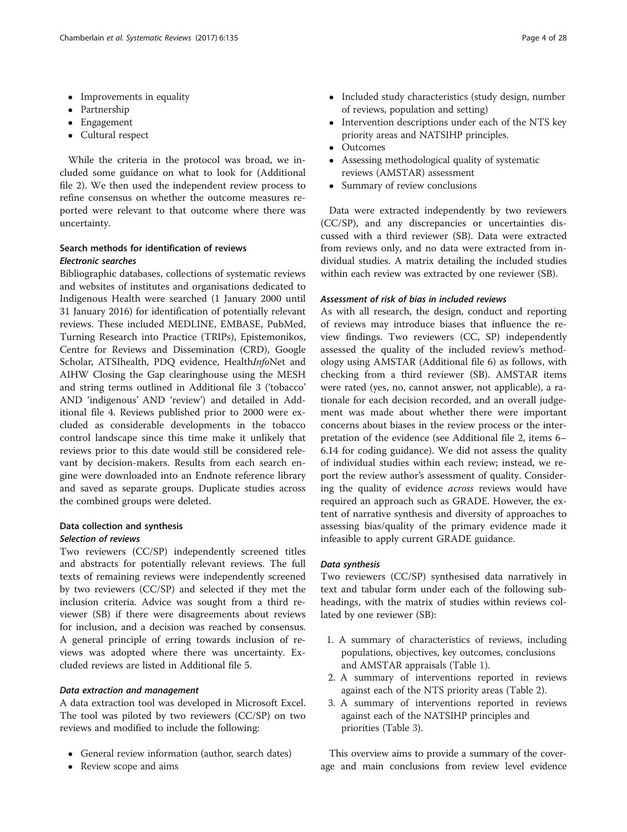- Improvements in equality
- Partnership
- Engagement
- Cultural respect

While the criteria in the protocol was broad, we included some guidance on what to look for (Additional file [2](#page-25-0)). We then used the independent review process to refine consensus on whether the outcome measures reported were relevant to that outcome where there was uncertainty.

# Search methods for identification of reviews Electronic searches

Bibliographic databases, collections of systematic reviews and websites of institutes and organisations dedicated to Indigenous Health were searched (1 January 2000 until 31 January 2016) for identification of potentially relevant reviews. These included MEDLINE, EMBASE, PubMed, Turning Research into Practice (TRIPs), Epistemonikos, Centre for Reviews and Dissemination (CRD), Google Scholar, ATSIhealth, PDQ evidence, HealthInfoNet and AIHW Closing the Gap clearinghouse using the MESH and string terms outlined in Additional file [3](#page-25-0) ('tobacco' AND 'indigenous' AND 'review') and detailed in Additional file [4.](#page-25-0) Reviews published prior to 2000 were excluded as considerable developments in the tobacco control landscape since this time make it unlikely that reviews prior to this date would still be considered relevant by decision-makers. Results from each search engine were downloaded into an Endnote reference library and saved as separate groups. Duplicate studies across the combined groups were deleted.

# Data collection and synthesis

# Selection of reviews

Two reviewers (CC/SP) independently screened titles and abstracts for potentially relevant reviews. The full texts of remaining reviews were independently screened by two reviewers (CC/SP) and selected if they met the inclusion criteria. Advice was sought from a third reviewer (SB) if there were disagreements about reviews for inclusion, and a decision was reached by consensus. A general principle of erring towards inclusion of reviews was adopted where there was uncertainty. Excluded reviews are listed in Additional file [5](#page-25-0).

# Data extraction and management

A data extraction tool was developed in Microsoft Excel. The tool was piloted by two reviewers (CC/SP) on two reviews and modified to include the following:

- General review information (author, search dates)
- Review scope and aims
- Included study characteristics (study design, number of reviews, population and setting)
- Intervention descriptions under each of the NTS key priority areas and NATSIHP principles.
- Outcomes
- Assessing methodological quality of systematic reviews (AMSTAR) assessment
- Summary of review conclusions

Data were extracted independently by two reviewers (CC/SP), and any discrepancies or uncertainties discussed with a third reviewer (SB). Data were extracted from reviews only, and no data were extracted from individual studies. A matrix detailing the included studies within each review was extracted by one reviewer (SB).

# Assessment of risk of bias in included reviews

As with all research, the design, conduct and reporting of reviews may introduce biases that influence the review findings. Two reviewers (CC, SP) independently assessed the quality of the included review's methodology using AMSTAR (Additional file [6](#page-25-0)) as follows, with checking from a third reviewer (SB). AMSTAR items were rated (yes, no, cannot answer, not applicable), a rationale for each decision recorded, and an overall judgement was made about whether there were important concerns about biases in the review process or the interpretation of the evidence (see Additional file [2,](#page-25-0) items 6– 6.14 for coding guidance). We did not assess the quality of individual studies within each review; instead, we report the review author's assessment of quality. Considering the quality of evidence across reviews would have required an approach such as GRADE. However, the extent of narrative synthesis and diversity of approaches to assessing bias/quality of the primary evidence made it infeasible to apply current GRADE guidance.

# Data synthesis

Two reviewers (CC/SP) synthesised data narratively in text and tabular form under each of the following subheadings, with the matrix of studies within reviews collated by one reviewer (SB):

- 1. A summary of characteristics of reviews, including populations, objectives, key outcomes, conclusions and AMSTAR appraisals (Table [1](#page-4-0)).
- 2. A summary of interventions reported in reviews against each of the NTS priority areas (Table [2](#page-10-0)).
- 3. A summary of interventions reported in reviews against each of the NATSIHP principles and priorities (Table [3\)](#page-11-0).

This overview aims to provide a summary of the coverage and main conclusions from review level evidence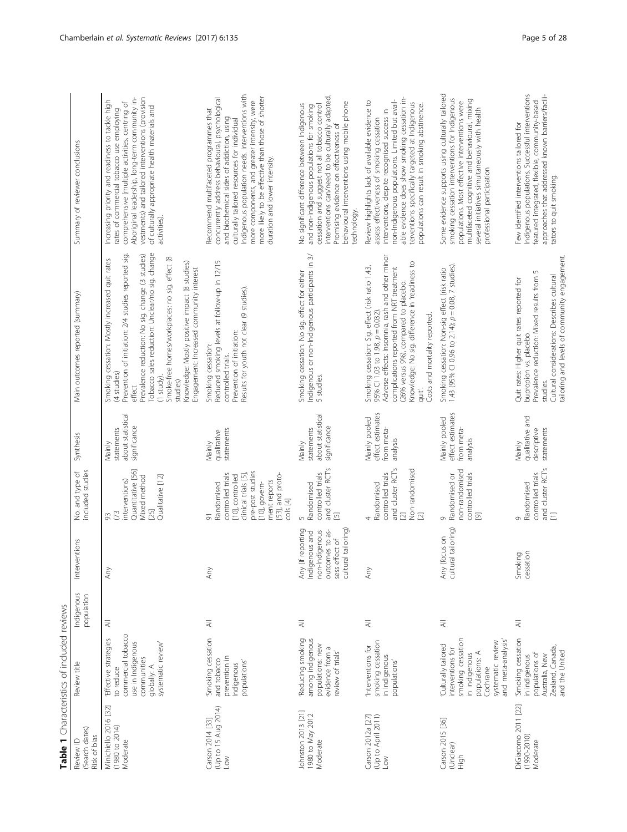<span id="page-4-0"></span>

|                                                     | Table 1 Characteristics of included reviews                                                                                                             |                          |                                                                                                                   |                                                                                                                                                                                    |                                                             |                                                                                                                                                                                                                                                                                                                                                                                                                         |                                                                                                                                                                                                                                                                                                                                                                                 |
|-----------------------------------------------------|---------------------------------------------------------------------------------------------------------------------------------------------------------|--------------------------|-------------------------------------------------------------------------------------------------------------------|------------------------------------------------------------------------------------------------------------------------------------------------------------------------------------|-------------------------------------------------------------|-------------------------------------------------------------------------------------------------------------------------------------------------------------------------------------------------------------------------------------------------------------------------------------------------------------------------------------------------------------------------------------------------------------------------|---------------------------------------------------------------------------------------------------------------------------------------------------------------------------------------------------------------------------------------------------------------------------------------------------------------------------------------------------------------------------------|
| (Search dates)<br>Risk of bias<br>Review ID         | Review title                                                                                                                                            | Indigenous<br>population | Interventions                                                                                                     | included studies<br>No. and type of                                                                                                                                                | Synthesis                                                   | Main outcomes reported (summary)                                                                                                                                                                                                                                                                                                                                                                                        | Summary of reviewer conclusions                                                                                                                                                                                                                                                                                                                                                 |
| Minichiello 2016 [32]<br>(1980 to 2014)<br>Moderate | commercial tobacco<br>'Effective strategies<br>use in Indigenous<br>systematic review'<br>communities<br>globally: A<br>to reduce                       | $\equiv$                 | Any                                                                                                               | Quantitative [56]<br>Mixed method<br>Qualitative [12]<br>interventions)<br>$[25]$<br>(73)<br>93                                                                                    | about statistical<br>significance<br>statements<br>Mainly   | Tobacco sales reduction: Unclear/no sig. change<br>Prevention of initiation: 2/4 studies reported sig.<br>Prevalence reduction: No sig. change (3 studies)<br>Smoke-free homes/workplaces: no sig. effect (8<br>Smoking cessation: Mostly increased quit rates<br>Knowledge: Mostly positive impact (8 studies)<br>Engagement: Increased community interest<br>(4 studies)<br>$(1 \text{ study})$<br>studies)<br>effect | vestments) and tailored interventions (provision<br>Aboriginal leadership, long-term community in-<br>Increasing priority and readiness to tackle high<br>comprehensive (multiple activities, centring of<br>of culturally appropriate health materials and<br>rates of commercial tobacco use employing<br>activities).                                                        |
| (Up to 15 Aug 2014)<br>Carson 2014 [33]<br>$\geq$   | Smoking cessation<br>prevention in<br>and tobacco<br>populations'<br>Indigenous                                                                         | $\equiv$                 | Àny                                                                                                               | pre-post studies<br>controlled trials<br>clinical trials [5],<br>[53], and proto-<br>[10], controlled<br>ment reports<br>[10], govern-<br>Randomised<br>cols [4]<br>$\overline{6}$ | statements<br>qualitative<br>Mainly                         | Reduced smoking levels at follow-up in 12/15<br>Results for youth not clear (9 studies).<br>Prevention of initiation:<br>Smoking cessation:<br>controlled trials.                                                                                                                                                                                                                                                       | Indigenous population needs. Interventions with<br>more likely to be effective than those of shorter<br>concurrently address behavioural, psychological<br>more components, and greater intensity, were<br>Recommend multifaceted programmes that<br>and biochemical sides of addiction, using<br>culturally tailored resources for individual<br>duration and lower intensity. |
| Johnston 2013 [21]<br>1980 to May 2012<br>Moderate  | Reducing smoking<br>among indigenous<br>populations: new<br>evidence from a<br>review of trials'                                                        | $\equiv$                 | cultural tailoring)<br>Any (if reporting<br>non-Indigenous<br>outcomes to as-<br>Indigenous and<br>sess effect of | and cluster RCT's<br>controlled trials<br>Randomised<br>$\overline{5}$                                                                                                             | about statistical<br>significance<br>statements<br>Mainly   | Indigenous or non-Indigenous participants in 3/<br>Smoking cessation: No sig. effect for either<br>5 studies.                                                                                                                                                                                                                                                                                                           | interventions can/need to be culturally adapted<br>behavioural interventions using mobile phone<br>No significant difference between Indigenous<br>cessation and suggest not all tobacco control<br>and non-Indigenous populations for smoking<br>Promising evidence on effectiveness of<br>technology.                                                                         |
| Carson 2012a [27]<br>(Up to April 2011)<br>$\geq$   | smoking cessation<br>Interventions for<br>in Indigenous<br>populations'                                                                                 | $\equiv$                 | Any                                                                                                               | and cluster RCT's<br>Non-randomised<br>controlled trials<br>Randomised<br>$\overline{2}$<br>$\Xi$<br>4                                                                             | effect estimates<br>Mainly pooled<br>from meta-<br>analysis | Adverse effects: Insomnia, rash and other minor<br>Knowledge: No sig. difference in 'readiness to<br>Smoking cessation: Sig. effect (risk ratio 1.43,<br>complications reported from NRT treatment<br>(26% versus 9%), compared to placebo.<br>95% C 1.03 to 1.98, $p = 0.032$ ).<br>Costs and mortality reported.<br>quit'.                                                                                            | able evidence does show smoking cessation in-<br>non-Indigenous populations. Limited but avail-<br>Review highlights lack of available evidence to<br>terventions specifically targeted at Indigenous<br>populations can result in smoking abstinence.<br>interventions, despite recognised success in<br>assess effectiveness of smoking cessation                             |
| Carson 2015 [36]<br>(Unclear)<br>合王                 | smoking cessation<br>and meta-analysis'<br>systematic review<br>Culturally tailored<br>interventions for<br>populations: A<br>in indigenous<br>Cochrane | $\equiv$                 | cultural tailoring)<br>Any (focus on                                                                              | non-randomised<br>controlled trials<br>Randomised or<br>$\boxed{9}$<br>Ō                                                                                                           | effect estimates<br>Mainly pooled<br>from meta-<br>analysis | 1.43 (95% CI 0.96 to 2.14); $p = 0.08$ , 7 studies).<br>Smoking cessation: Non-sig effect (risk ratio                                                                                                                                                                                                                                                                                                                   | Some evidence supports using culturally tailored<br>smoking cessation interventions for Indigenous<br>multifaceted cognitive and behavioural, mixing<br>populations. Most effective interventions were<br>several initiatives simultaneously with health<br>professional participation                                                                                          |
| DiGiacomo 2011 [22]<br>$(1990 - 2010)$<br>Moderate  | 'Smoking cessation<br>Australia, New<br>Zealand, Canada,<br>and the United<br>populations of<br>in indigenous                                           | $\equiv$                 | cessation<br>Smoking                                                                                              | and cluster RCT's<br>controlled trials<br>Randomised<br>Ξ<br>Ō                                                                                                                     | qualitative and<br>descriptive<br>statements<br>Mainly      | tailoring and levels of community engagement.<br>Prevalence reduction: Mixed results from 5<br>Cultural considerations: Describes cultural<br>Quit rates: Higher quit rates reported for<br>bupropion vs. placebo.<br>studies.                                                                                                                                                                                          | Indigenous populations. Successful interventions<br>approaches that addressed known barriers/facili-<br>featured integrated, flexible, community-based<br>Few identified interventions tailored for<br>tators to quit smoking.                                                                                                                                                  |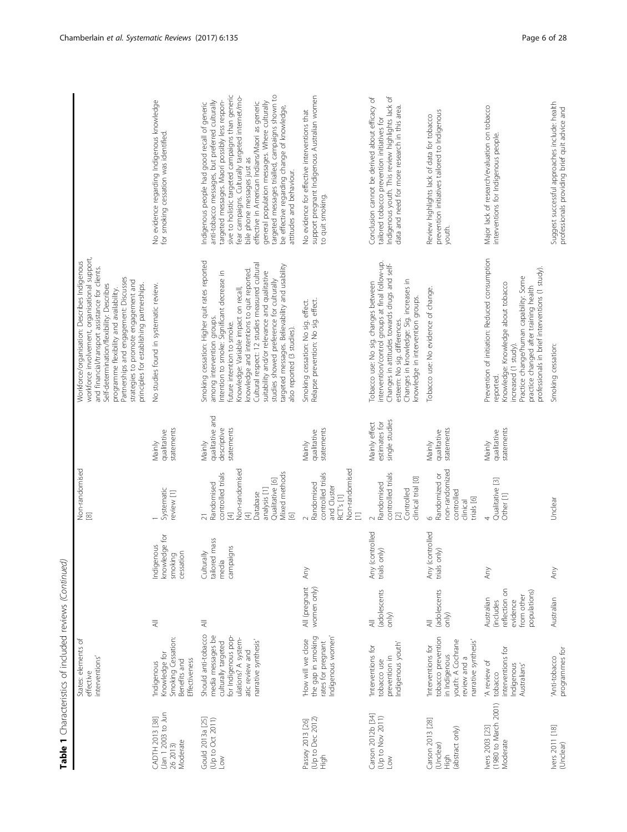|                                                               | States: elements of<br>interventions<br>effective                                                                                                        |                                                                                    |                                                     | Non-randomised<br>$\boxed{8}$                                                                                                                                                              |                                                        | workforce involvement, organisational support,<br>Workforce/organisation: Describes Indigenous<br>and financial/transport assistance for clients.<br>Partnerships and engagement: Discusses<br>strategies to promote engagement and<br>Self-determination/flexibility: Describes<br>principles for establishing partnerships.<br>programme flexibility and availability.                                                                                                     |                                                                                                                                                                                                                                                                                                                                                                                                                                                                                                                          |
|---------------------------------------------------------------|----------------------------------------------------------------------------------------------------------------------------------------------------------|------------------------------------------------------------------------------------|-----------------------------------------------------|--------------------------------------------------------------------------------------------------------------------------------------------------------------------------------------------|--------------------------------------------------------|------------------------------------------------------------------------------------------------------------------------------------------------------------------------------------------------------------------------------------------------------------------------------------------------------------------------------------------------------------------------------------------------------------------------------------------------------------------------------|--------------------------------------------------------------------------------------------------------------------------------------------------------------------------------------------------------------------------------------------------------------------------------------------------------------------------------------------------------------------------------------------------------------------------------------------------------------------------------------------------------------------------|
| (Jan 1 2003 to Jun<br>CADTH 2013 [38]<br>Moderate<br>26 2013) | Smoking Cessation:<br>Knowledge for<br>Effectiveness<br>Benefits and<br>Indigenous                                                                       | $\equiv$                                                                           | knowledge for<br>Indigenous<br>cessation<br>smoking | Systematic<br>review [1]                                                                                                                                                                   | statements<br>qualitative<br>Mainly                    | No studies found in systematic review.                                                                                                                                                                                                                                                                                                                                                                                                                                       | No evidence regarding Indigenous knowledge<br>for smoking cessation was identified.                                                                                                                                                                                                                                                                                                                                                                                                                                      |
| Gould 2013a [25]<br>(Up to Oct 2011)<br>$\geq$                | Should anti-tobacco<br>media messages be<br>for Indigenous pop-<br>ulations? A system-<br>narrative synthesis'<br>culturally targeted<br>atic review and | ₹                                                                                  | tailored mass<br>campaigns<br>Culturally<br>media   | Non-randomised<br>Mixed methods<br>controlled trials<br>Qualitative [6]<br>Randomised<br>analysis [1]<br>Database<br>$\overline{4}$<br>$\overline{4}$<br>$\overline{6}$<br>$\overline{21}$ | qualitative and<br>statements<br>descriptive<br>Mainly | Smoking cessation: Higher quit rates reported<br>Cultural respect: 12 studies measured cultural<br>targeted messages. Believability and usability<br>knowledge and intentions to quit reported<br>suitability and/or relevance and qualitative<br>Intention to smoke: Significant decrease in<br>studies showed preference for culturally<br>Knowledge: Variable impact on recall,<br>among intervention groups.<br>future intention to smoke.<br>also reported (3 studies). | sive to holistic targeted campaigns than generic<br>targeted messages trialled, campaigns shown to<br>fear campaigns. Culturally targeted internet/mo-<br>targeted messages. Maori possibly less respon-<br>general population messages. Where culturally<br>anti-tobacco messages, but preferred culturally<br>effective in American Indians/Maori as generic<br>Indigenous people had good recall of generic<br>be effective regarding change of knowledge,<br>bile phone messages just as<br>attitudes and behaviour. |
| (Up to Dec 2012)<br>Passey 2013 [26]<br>figh                  | the gap in smoking<br>Indigenous women'<br>How will we close<br>rates for pregnant                                                                       | All (pregnant<br>women only)                                                       | $\overline{A}$                                      | Non-randomised<br>controlled trials<br>Randomised<br>and Cluster<br>rct's [1]<br>Ξ                                                                                                         | statements<br>qualitative<br>Mainly                    | Relapse prevention: No sig. effect.<br>Smoking cessation: No sig. effect.                                                                                                                                                                                                                                                                                                                                                                                                    | support pregnant Indigenous Australian women<br>No evidence for effective interventions that<br>to quit smoking.                                                                                                                                                                                                                                                                                                                                                                                                         |
| Carson 2012b [34]<br>(Up to Nov 2011)<br>$\leq$               | Indigenous youth'<br>Interventions for<br>prevention in<br>tobacco use                                                                                   | (adolescents<br>only)<br>$\equiv$                                                  | Any (controlled<br>$\circ$ n $ y\rangle$<br>trials  | controlled trials<br>clinical trial [0]<br>Randomised<br>Controlled<br>$\overline{\Xi}$                                                                                                    | single studies<br>Mainly effect<br>estimates for       | intervention/control groups at final follow-up.<br>Changes in attitudes towards drugs and self-<br>Changes in knowledge: Sig. increases in<br>Tobacco use: No sig. changes between<br>knowledge in intervention groups.<br>esteem: No sig. differences.                                                                                                                                                                                                                      | Indigenous youth. This review highlights lack of<br>Conclusion cannot be derived about efficacy of<br>data and need for more research in this area.<br>tailored tobacco prevention initiatives for                                                                                                                                                                                                                                                                                                                       |
| Carson 2013 [28]<br>(abstract only)<br>(Unclear)<br>High      | tobacco prevention<br>youth: A Cochrane<br>narrative synthesis'<br>Interventions for<br>in Indigenous<br>review and a                                    | (adolescents<br>only)<br>₹                                                         | Any (controlled<br>only)<br>trials                  | non-randomized<br>Randomized or<br>controlled<br>trials [6]<br>clinical<br>$\circ$                                                                                                         | statements<br>qualitative<br>Mainly                    | Tobacco use: No evidence of change.                                                                                                                                                                                                                                                                                                                                                                                                                                          | prevention initiatives tailored to Indigenous<br>Review highlights lack of data for tobacco<br>youth.                                                                                                                                                                                                                                                                                                                                                                                                                    |
| (1980 to March 2001)<br>Ivers 2003 [23]<br>Moderate           | interventions for<br>'A review of<br>Indigenous<br>Australians'<br>tobacco                                                                               | reflection on<br>populations)<br>from other<br>Australian<br>evidence<br>(includes | Àny                                                 | Qualitative [3]<br>Other [1]                                                                                                                                                               | statements<br>qualitative<br>Mainly                    | Prevention of initiation: Reduced consumption<br>professionals in brief interventions (1 study).<br>Practice change/human capability: Some<br>Knowledge: Knowledge about tobacco<br>practice changed after training health<br>increased (1 study).<br>reported.                                                                                                                                                                                                              | Major lack of research/evaluation on tobacco<br>interventions for Indigenous people.                                                                                                                                                                                                                                                                                                                                                                                                                                     |
| lvers 2011 [18]<br>(Unclear)                                  | programmes for<br>'Anti-tobacco                                                                                                                          | Australian                                                                         | $\overline{A}$ ny                                   | Unclear                                                                                                                                                                                    |                                                        | Smoking cessation:                                                                                                                                                                                                                                                                                                                                                                                                                                                           | Suggest successful approaches include: health<br>professionals providing brief quit advice and                                                                                                                                                                                                                                                                                                                                                                                                                           |

Table 1 Characteristics of included reviews (Continued) **Table 1** Characteristics of included reviews (Continued)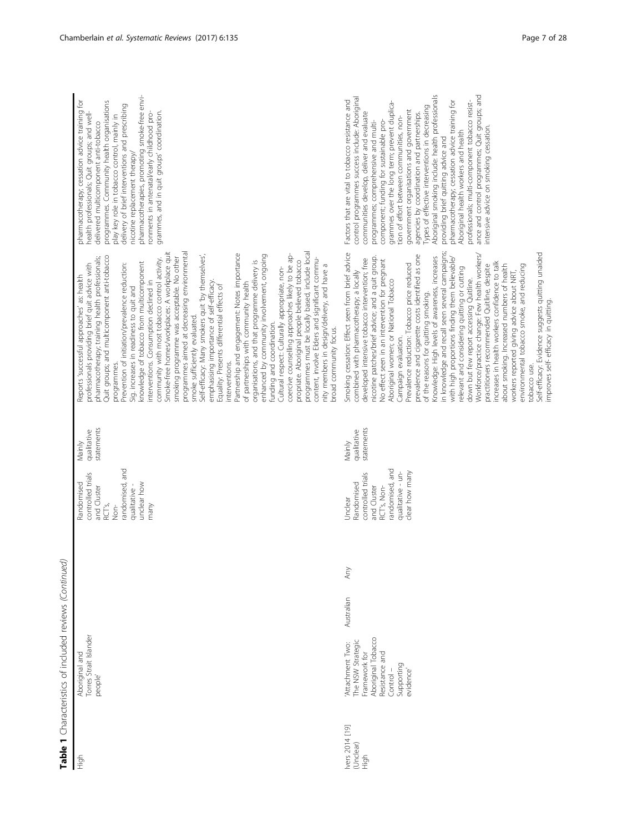|                                               | Table 1 Characteristics of included reviews (Continued)                                                                               |            |     |                                                                                                                                    |                                     |                                                                                                                                                                                                                                                                                                                                                                                                                                                                                                                                                                                                                                                                                                                                                                                                                                                                                                                                                                                                                                                                                                                                                                                                                                                                                                                                                               |                                                                                                                                                                                                                                                                                                                                                                                                                                                                                                                                                                                                                                                                                                                                                                                                           |
|-----------------------------------------------|---------------------------------------------------------------------------------------------------------------------------------------|------------|-----|------------------------------------------------------------------------------------------------------------------------------------|-------------------------------------|---------------------------------------------------------------------------------------------------------------------------------------------------------------------------------------------------------------------------------------------------------------------------------------------------------------------------------------------------------------------------------------------------------------------------------------------------------------------------------------------------------------------------------------------------------------------------------------------------------------------------------------------------------------------------------------------------------------------------------------------------------------------------------------------------------------------------------------------------------------------------------------------------------------------------------------------------------------------------------------------------------------------------------------------------------------------------------------------------------------------------------------------------------------------------------------------------------------------------------------------------------------------------------------------------------------------------------------------------------------|-----------------------------------------------------------------------------------------------------------------------------------------------------------------------------------------------------------------------------------------------------------------------------------------------------------------------------------------------------------------------------------------------------------------------------------------------------------------------------------------------------------------------------------------------------------------------------------------------------------------------------------------------------------------------------------------------------------------------------------------------------------------------------------------------------------|
| High                                          | Torres Strait Islander<br>Aboriginal and<br>people'                                                                                   |            |     | randomised, and<br>controlled trials<br>unclear how<br>Randomised<br>and Cluster<br>qualitative -<br>RCT's,<br>many<br>Non-        | statements<br>qualitative<br>Mainly | programmes must be locally based, include local<br>Smoke-free homes/workplaces: A workplace quit<br>programmes aimed at decreasing environmental<br>Partnership and engagement: Notes importance<br>of partnerships with community health<br>Self-efficacy: Many smokers quit 'by themselves',<br>enhanced by community involvement, ongoing<br>coercive counselling approaches likely to be ap-<br>Quit groups; and multicomponent anti-tobacco<br>content, involve Elders and significant commu-<br>pharmacotherapy; training health professionals;<br>smoking programme was acceptable. No other<br>community with most tobacco control activity.<br>propriate. Aboriginal people believed tobacco<br>organisations, and that programme delivery is<br>knowledge of tobacco from multicomponent<br>Prevention of initiation/prevalence reduction:<br>professionals providing brief quit advice with<br>nity members in design/delivery, and have a<br>Cultural respect: Culturally appropriate, non-<br>Reports 'successful approaches' as: health<br>interventions. Consumption declined in<br>emphasising importance of self-efficacy.<br>Equality: Presents differential effects of<br>Sig. increases in readiness to quit and<br>smoke sufficiently evaluated.<br>funding and coordination.<br>broad community focus.<br>interventions.<br>programmes. | pharmacotherapies, promoting smoke-free envi-<br>pharmacotherapy; cessation advice training for<br>programmes. Community health organisations<br>delivery of brief interventions and prescribing<br>grammes, and in quit groups' coordination.<br>ronments in antenatal/early childhood pro-<br>health professionals; Quit groups; and well-<br>play key role in tobacco control, mainly in<br>delivered multicomponent anti-tobacco<br>nicotine replacement therapy/                                                                                                                                                                                                                                                                                                                                     |
| lvers 2014 [19]<br>(Unclear)<br>$rac{6}{110}$ | Aboriginal Tobacco<br>The NSW Strategic<br>Attachment Two:<br>Resistance and<br>Framework for<br>Supporting<br>evidence'<br>Control - | Australian | Any | randomised, and<br>clear how many<br>qualitative - un-<br>controlled trials<br>Randomised<br>and Cluster<br>RCT's, Non-<br>Unclear | statements<br>qualitative<br>Mainly | in knowledge and recall seen several campaigns;<br>Self-efficacy: Evidence suggests quitting unaided<br>improves self-efficacy in quitting.<br>Smoking cessation: Effect seen from brief advice<br>Workforce/practice change: Few health workers/<br>prevalence and cigarette costs identified as one<br>with high proportions finding them believable/<br>nicotine patches/brief advice; and a quit group.<br>Knowledge: High levels of awareness, increases<br>developed intensive tobacco intervention; free<br>No effect seen in an intervention for pregnant<br>increases in health workers confidence to talk<br>Prevalence reduction: Tobacco price reduced<br>practitioners recommended Quitline, despite<br>about smoking. Increased numbers of health<br>workers reported giving advice about NRT,<br>environmental tobacco smoke, and reducing<br>relevant and considering quitting or cutting<br>combined with pharmacotherapy; a locally<br>down but few report accessing Quitline.<br>Aboriginal women; or National Tobacco<br>of the reasons for quitting smoking.<br>Campaign evaluation.<br>tobacco use.                                                                                                                                                                                                                                     | ance and control programmes; Quit groups; and<br>Aboriginal smoking include: health professionals<br>control programmes success include: Aboriginal<br>Factors that are vital to tobacco resistance and<br>professionals; multi-component tobacco resist-<br>pharmacotherapy; cessation advice training for<br>grammes over the long term; prevent duplica-<br>Types of effective interventions in decreasing<br>govemment organisations and govemment<br>communities develop, deliver and evaluate<br>agencies by coordination and partnerships.<br>tion of effort between communities, non-<br>component; funding for sustainable pro-<br>programmes; comprehensive and multi-<br>intensive advice on smoking cessation.<br>Aboriginal health workers and health<br>providing brief quitting advice and |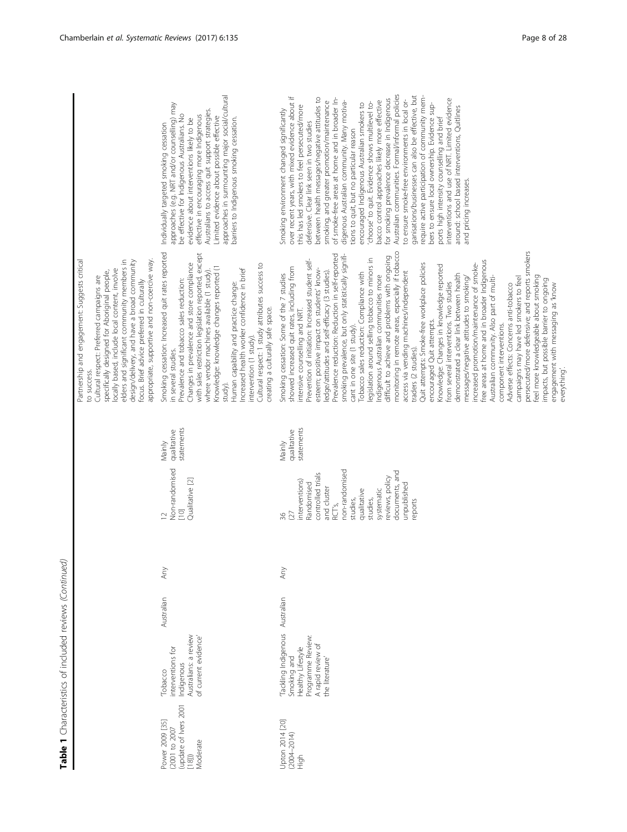|                                                                                                                                                                                                                                                                                                                                                                                                          | approaches in surmounting major social/cultural<br>approaches (e.g. NRT and/or counselling) may<br>Australians to access quit support strategies.<br>be effective for Indigenous Australians. No<br>effective in encouraging more Indigenous<br>Limited evidence about possible effective<br>barriers to Indigenous smoking cessation.<br>evidence about interventions likely to be<br>Individually targeted smoking cessation                                                                                                          | Australian communities. Formal/informal policies<br>ganisations/businesses can also be effective, but<br>require active participation of community mem-<br>over recent years, with mixed evidence about if<br>between health messages/negative attitudes to<br>of smoke-free areas at home and in broader In-<br>for smoking prevalence decrease in Indigenous<br>interventions and use of NRT. Limited evidence<br>to ensure smoke-free environments in local or-<br>digenous Australian community. Many motiva-<br>smoking, and greater promotion/maintenance<br>bacco control approaches likely more effective<br>'choose' to quit. Evidence shows multilevel to-<br>bers to ensure local ownership. Evidence sup-<br>encouraged Indigenous Australian smokers to<br>this has led smokers to feel persecuted/more<br>around: school based interventions, Quitlines<br>Smoking environment changed significantly<br>ports high intensity counselling and brief<br>defensive. Clear link seen in two studies<br>tions to quit, but no particular reason<br>and pricing increases.                                                                                                                                                                                                                                                                                                                                                                            |
|----------------------------------------------------------------------------------------------------------------------------------------------------------------------------------------------------------------------------------------------------------------------------------------------------------------------------------------------------------------------------------------------------------|-----------------------------------------------------------------------------------------------------------------------------------------------------------------------------------------------------------------------------------------------------------------------------------------------------------------------------------------------------------------------------------------------------------------------------------------------------------------------------------------------------------------------------------------|---------------------------------------------------------------------------------------------------------------------------------------------------------------------------------------------------------------------------------------------------------------------------------------------------------------------------------------------------------------------------------------------------------------------------------------------------------------------------------------------------------------------------------------------------------------------------------------------------------------------------------------------------------------------------------------------------------------------------------------------------------------------------------------------------------------------------------------------------------------------------------------------------------------------------------------------------------------------------------------------------------------------------------------------------------------------------------------------------------------------------------------------------------------------------------------------------------------------------------------------------------------------------------------------------------------------------------------------------------------------------------------------------------------------------------------------------------------|
| design/delivery, and have a broad community<br>appropriate, supportive and non-coercive way.<br>elders and significant community members in<br>Partnership and engagement: Suggests critical<br>locally based, include local content, involve<br>specifically designed for Aboriginal people,<br>Cultural respect: Preferred campaigns are<br>focus. Brief advice preferred in culturally<br>to success. | Smoking cessation: Increased quit rates reported<br>with sales restriction legislation reported, except<br>Changes in prevalence and store compliance<br>Cultural respect: 1 study attributes success to<br>Knowledge: knowledge changes reported (1<br>Increased health worker confidence in brief<br>where vendor machines available (1 study).<br>Prevalence and tobacco sales reduction:<br>Human capability and practice change:<br>creating a culturally safe space.<br>intervention (1 study).<br>in several studies.<br>study). | monitoring in remote areas, especially if tobacco<br>persecuted/more defensive; and reports smokers<br>Prevalence reduction: Reduction in self-reported<br>smoking prevalence, but only statistically signifi-<br>difficult to achieve and problems with ongoing<br>legislation around selling tobacco to minors in<br>Prevention of initiation: Increased student self-<br>free areas at home and in broader Indigenous<br>Quit attempts: Smoke-free workplace policies<br>increased promotion/maintenance of smoke-<br>Knowledge: Changes in knowledge reported<br>showed increased quit rates, including from<br>esteem; positive impact on students' know-<br>ledge/attitudes and self-efficacy (3 studies).<br>access via vending machines/independent<br>Tobacco sales reduction: Compliance with<br>Indigenous Australian communities more<br>demonstrated a clear link between health<br>Smoking cessation: Some of the 7 studies<br>feel more knowledgeable about smoking<br>Australian community. Also part of multi-<br>messages/negative attitudes to smoking/<br>campaigns may have led smokers to feel<br>impacts, but possible barrier to ongoing<br>from several interventions. Two studies<br>Adverse effects: Concerns anti-tobacco<br>engagement with messaging as 'know<br>intensive counselling and NRT.<br>encouraged Quit attempts.<br>component interventions.<br>cant in one site (1 study).<br>traders (2 studies).<br>everything'. |
|                                                                                                                                                                                                                                                                                                                                                                                                          | statements<br>qualitative<br>Mainly<br>Non-randomised<br>Qualitative [2]<br>$\overline{C}$<br>$\mathbf{r}$                                                                                                                                                                                                                                                                                                                                                                                                                              | statements<br>qualitative<br>Mainly<br>non-randomised<br>documents, and<br>controlled trials<br>reviews, policy<br>interventions)<br>unpublished<br>Randomised<br>and cluster<br>systematic<br>qualitative<br>studies,<br>studies,<br>reports<br>RCT'S,<br>$\overline{C}$<br>96                                                                                                                                                                                                                                                                                                                                                                                                                                                                                                                                                                                                                                                                                                                                                                                                                                                                                                                                                                                                                                                                                                                                                                               |
|                                                                                                                                                                                                                                                                                                                                                                                                          | Àny                                                                                                                                                                                                                                                                                                                                                                                                                                                                                                                                     | Any                                                                                                                                                                                                                                                                                                                                                                                                                                                                                                                                                                                                                                                                                                                                                                                                                                                                                                                                                                                                                                                                                                                                                                                                                                                                                                                                                                                                                                                           |
|                                                                                                                                                                                                                                                                                                                                                                                                          | Australian                                                                                                                                                                                                                                                                                                                                                                                                                                                                                                                              | Australian                                                                                                                                                                                                                                                                                                                                                                                                                                                                                                                                                                                                                                                                                                                                                                                                                                                                                                                                                                                                                                                                                                                                                                                                                                                                                                                                                                                                                                                    |
|                                                                                                                                                                                                                                                                                                                                                                                                          | Australians: a review<br>of current evidence'<br>interventions for<br>Indigenous<br>Tobacco                                                                                                                                                                                                                                                                                                                                                                                                                                             | Tackling Indigenous<br>Programme Review:<br>A rapid review of<br>Healthy Lifestyle<br>the literature'<br>Smoking and                                                                                                                                                                                                                                                                                                                                                                                                                                                                                                                                                                                                                                                                                                                                                                                                                                                                                                                                                                                                                                                                                                                                                                                                                                                                                                                                          |
|                                                                                                                                                                                                                                                                                                                                                                                                          | (update of Ivers 2001<br>Power 2009 [35]<br>(2001 to 2007<br>Moderate<br>$[18]$ )                                                                                                                                                                                                                                                                                                                                                                                                                                                       | Upton 2014 [20]<br>$(2004 - 2014)$<br>high<br>High                                                                                                                                                                                                                                                                                                                                                                                                                                                                                                                                                                                                                                                                                                                                                                                                                                                                                                                                                                                                                                                                                                                                                                                                                                                                                                                                                                                                            |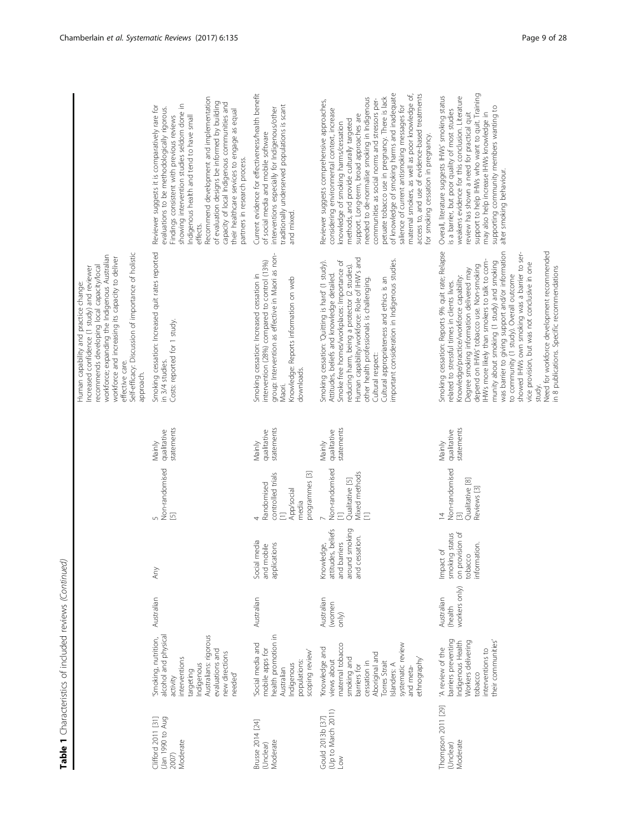|                                                                                                                                                                                                                                                                                                                                 | Recommend development and implementation<br>of evaluation designs be informed by building<br>capacity of local Indigenous communities and<br>showing intervention studies seldom done in<br>Reviewer suggests it is comparatively rare for<br>evaluations to be methodologically rigorous.<br>their healthcare services to engage as equal<br>Findings consistent with previous reviews<br>Indigenous health and tend to have small<br>partners in research process.<br>effects. | Current evidence for effectiveness/health benefit<br>traditionally underserved populations is scant<br>interventions especially for Indigenous/other<br>of social media and mobile software<br>and mixed.       | of knowledge of smoking harms and inadequate<br>maternal smokers, as well as poor knowledge of,<br>access to, and use of evidence-based treatments<br>petuate tobacco use in pregnancy. There is lack<br>needed to de-normalise smoking in Indigenous<br>communities as social norms and stressors per-<br>Reviewer suggests comprehensive approaches,<br>salience of current antismoking messages for<br>considering environmental context, increase<br>support. Long-term, broad approaches are<br>methods, and provide culturally targeted<br>knowledge of smoking harms/cessation<br>for smoking cessation in pregnancy. | support to help IHWs who want to quit. Training<br>Overall, literature suggests IHWs' smoking status<br>weakens evidence for this conclusion. Literature<br>supporting community members wanting to<br>is a barrier, but poor quality of most studies<br>may also help increase IHWs knowledge in<br>review has shown a need for practical quit<br>alter smoking behaviour.                                                                                                                                                                                                                                                                            |
|---------------------------------------------------------------------------------------------------------------------------------------------------------------------------------------------------------------------------------------------------------------------------------------------------------------------------------|----------------------------------------------------------------------------------------------------------------------------------------------------------------------------------------------------------------------------------------------------------------------------------------------------------------------------------------------------------------------------------------------------------------------------------------------------------------------------------|-----------------------------------------------------------------------------------------------------------------------------------------------------------------------------------------------------------------|------------------------------------------------------------------------------------------------------------------------------------------------------------------------------------------------------------------------------------------------------------------------------------------------------------------------------------------------------------------------------------------------------------------------------------------------------------------------------------------------------------------------------------------------------------------------------------------------------------------------------|--------------------------------------------------------------------------------------------------------------------------------------------------------------------------------------------------------------------------------------------------------------------------------------------------------------------------------------------------------------------------------------------------------------------------------------------------------------------------------------------------------------------------------------------------------------------------------------------------------------------------------------------------------|
| Self-efficacy: Discussion of importance of holistic<br>workforce; expanding the Indigenous Australian<br>workforce and increasing its capacity to deliver<br>recommends developing local capacity/local<br>Increased confidence (1 study) and reviewer<br>Human capability and practice change:<br>effective care.<br>approach. | Smoking cessation: Increased quit rates reported<br>Costs: reported for 1 study<br>in 3/4 studies.                                                                                                                                                                                                                                                                                                                                                                               | group: Intervention as effective in Maori as non-<br>intervention (28%) compared to control (13%)<br>Smoking cessation: Increased cessation in<br>Knowledge: Reports information on web<br>downloads.<br>Maori. | Human capability/workforce: Role of IHW's and<br>important consideration in Indigenous studies.<br>Smoke free homes/workplaces: Importance of<br>Smoking cessation: 'Quitting is hard' (1 study).<br>reducing harm, being a protector (2 studies).<br>Attitudes, beliefs and knowledge detailed.<br>Cultural appropriateness and ethics is an<br>other health professionals is challenging.<br>Cultural respect:                                                                                                                                                                                                             | Smoking cessation: Reports 9% quit rate; Relapse<br>was barrier to giving support and/or information<br>Need for workforce development recommended<br>showed IHWs own smoking was a barrier to ser-<br>IHWs more likely than smokers to talk to com-<br>munity about smoking (1 study) and smoking<br>vice provision, but was not conclusive in one<br>depend on IHWs' tobacco use. Non-smoking<br>in 8 publications. Specific recommendations<br>Degree smoking information delivered may<br>to community (1 study). Overall outcome<br>Knowledge/practice/workforce capability:<br>related to stressful times in clients lives.<br>stud <sub>)</sub> |
|                                                                                                                                                                                                                                                                                                                                 | statements<br>qualitative<br>Mainly                                                                                                                                                                                                                                                                                                                                                                                                                                              | statements<br>qualitative<br>Mainly                                                                                                                                                                             | statements<br>qualitative<br>Mainly                                                                                                                                                                                                                                                                                                                                                                                                                                                                                                                                                                                          | statements<br>qualitative<br>Mainly                                                                                                                                                                                                                                                                                                                                                                                                                                                                                                                                                                                                                    |
|                                                                                                                                                                                                                                                                                                                                 | Non-randomised<br>$\overline{5}$                                                                                                                                                                                                                                                                                                                                                                                                                                                 | programmes [3]<br>controlled trials<br>Randomised<br>App/social<br>media<br>Ξ                                                                                                                                   | Non-randomised<br>Mixed methods<br>Qualitative [5]<br>$\equiv$<br>Ξ                                                                                                                                                                                                                                                                                                                                                                                                                                                                                                                                                          | Non-randomised<br>Qualitative [8]<br>Reviews [3]<br>$\boxed{3}$<br>$\overline{4}$                                                                                                                                                                                                                                                                                                                                                                                                                                                                                                                                                                      |
|                                                                                                                                                                                                                                                                                                                                 | <b>Any</b>                                                                                                                                                                                                                                                                                                                                                                                                                                                                       | media<br>applications<br>and mobile<br>Social                                                                                                                                                                   | around smoking<br>attitudes, beliefs<br>and cessation.<br>and barriers<br>Knowledge,                                                                                                                                                                                                                                                                                                                                                                                                                                                                                                                                         | on provision of<br>smoking status<br>information.<br>Impact of<br>tobacco                                                                                                                                                                                                                                                                                                                                                                                                                                                                                                                                                                              |
|                                                                                                                                                                                                                                                                                                                                 | Australian                                                                                                                                                                                                                                                                                                                                                                                                                                                                       | Australian                                                                                                                                                                                                      | Australian<br>(women<br>only)                                                                                                                                                                                                                                                                                                                                                                                                                                                                                                                                                                                                | workers only)<br>Australian<br>(health                                                                                                                                                                                                                                                                                                                                                                                                                                                                                                                                                                                                                 |
|                                                                                                                                                                                                                                                                                                                                 | alcohol and physical<br>Australians: rigorous<br>Smoking, nutrition,<br>evaluations and<br>new directions<br>interventions<br>Indigenous<br>targeting<br>needed'<br>activity                                                                                                                                                                                                                                                                                                     | health promotion in<br>Social media and<br>mobile apps for<br>scoping review<br>populations:<br>Indigenous<br>Australian                                                                                        | maternal tobacco<br>systematic review<br>Knowledge and<br>Aboriginal and<br>smoking and<br>ethnography'<br>views about<br>cessation in<br>Torres Strait<br>Islanders: A<br>barriers for<br>and meta-                                                                                                                                                                                                                                                                                                                                                                                                                         | barriers preventing<br>Workers delivering<br>Indigenous Health<br>interventions to<br>their communities'<br>'A review of the<br>copacco                                                                                                                                                                                                                                                                                                                                                                                                                                                                                                                |
|                                                                                                                                                                                                                                                                                                                                 | Uan 1990 to Aug<br><b>Clifford 2011 [31]</b><br>Moderate<br>2007)                                                                                                                                                                                                                                                                                                                                                                                                                | Brusse 2014 [24]<br>Moderate<br>(Unclear)                                                                                                                                                                       | (Up to March 2011)<br>Gould 2013b [37]<br>$\geq$                                                                                                                                                                                                                                                                                                                                                                                                                                                                                                                                                                             | Thompson 2011 [29]<br>Moderate<br>(Unclear)                                                                                                                                                                                                                                                                                                                                                                                                                                                                                                                                                                                                            |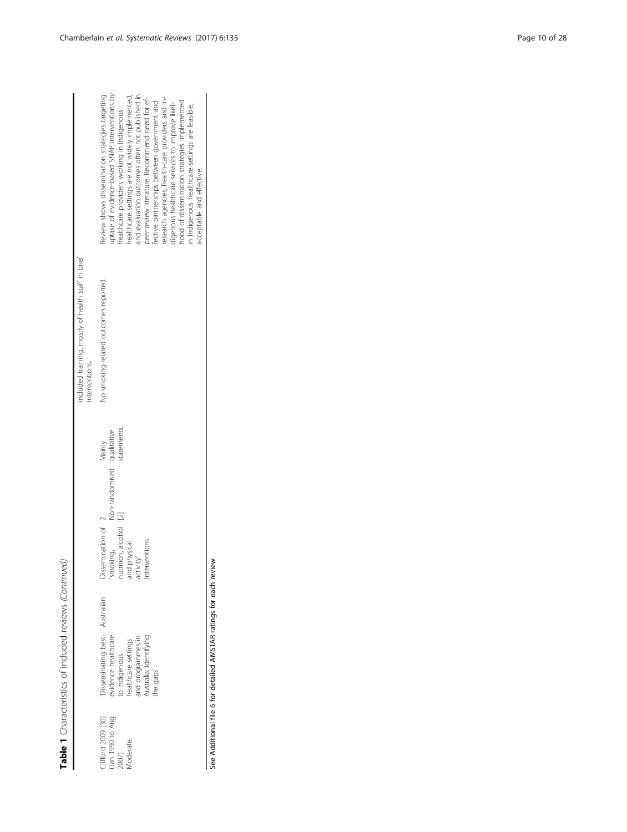| I                                                        |
|----------------------------------------------------------|
| $\ddot{\phantom{a}}$                                     |
| יה הוא הא היה יות                                        |
| -<br>+<br>+<br>+<br>I<br>5<br>j<br>;<br>;<br>;<br>١<br>j |
| j<br>I                                                   |
|                                                          |

|                                                                      | uptake of evidence-based SNAP interventions by<br>Review shows dissemination strategies targeting<br>and evaluation outcomes often not published in<br>nealthcare settings are not widely implemented,<br>peer-review literature. Recommend need for ef-<br>research agencies, health-care providers and In-<br>fective partnerships between government and<br>digenous healthcare services to improve likeli-<br>hood of dissemination strategies implemented<br>n Indigenous healthcare settings are feasible,<br>nealthcare providers working in Indigenous<br>acceptable and effective. |
|----------------------------------------------------------------------|---------------------------------------------------------------------------------------------------------------------------------------------------------------------------------------------------------------------------------------------------------------------------------------------------------------------------------------------------------------------------------------------------------------------------------------------------------------------------------------------------------------------------------------------------------------------------------------------|
| included training, mostly of health staff in brief<br>interventions. | No smoking-related outcomes reported.                                                                                                                                                                                                                                                                                                                                                                                                                                                                                                                                                       |
|                                                                      | statements.<br>Mainly                                                                                                                                                                                                                                                                                                                                                                                                                                                                                                                                                                       |
|                                                                      | Non-randomised qualitative<br>Dissemination of 2<br>'smoking,<br>nutrition, alcohol [2]<br>and physical<br>and physical<br>interventions,                                                                                                                                                                                                                                                                                                                                                                                                                                                   |
|                                                                      |                                                                                                                                                                                                                                                                                                                                                                                                                                                                                                                                                                                             |
|                                                                      | Disseminating best- Australian<br>vidence healthcare<br>to Indigenous<br>healthcare settings<br>and programmes in<br>Australia: identifying<br>the gaps'                                                                                                                                                                                                                                                                                                                                                                                                                                    |
|                                                                      | Clifford 2009 [30]<br>(Jan 1990 to Aug<br>2007)<br>Moderate                                                                                                                                                                                                                                                                                                                                                                                                                                                                                                                                 |

See Additional file 6 for detailed AMSTAR ratings for each review See Additional file [6](#page-25-0) for detailed AMSTAR ratings for each review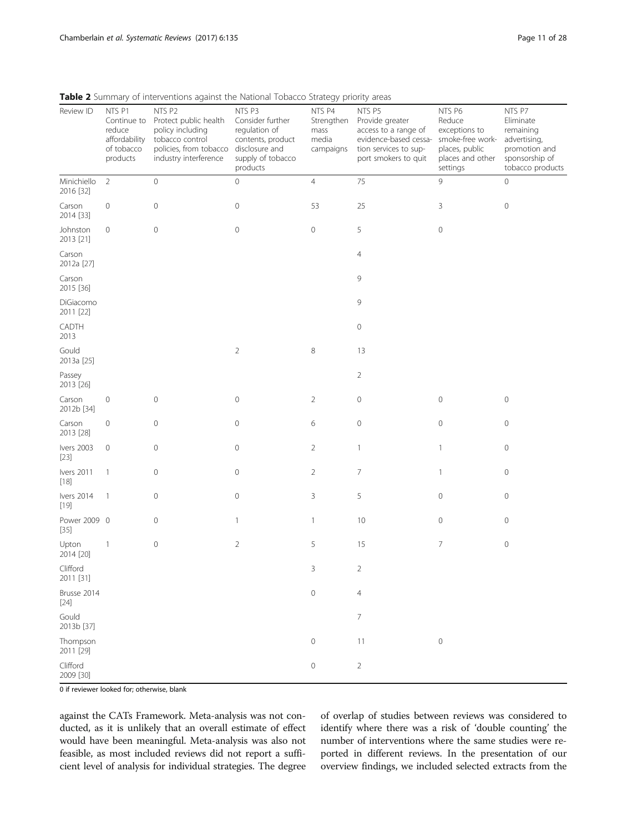|                          |                                                                                       | a sammary or men ventions against the national robacco strategy phoney areas                                              |                                                                                                                                |                                                               |                                                                                                                                        |                                                                                                         |                                                                                                         |
|--------------------------|---------------------------------------------------------------------------------------|---------------------------------------------------------------------------------------------------------------------------|--------------------------------------------------------------------------------------------------------------------------------|---------------------------------------------------------------|----------------------------------------------------------------------------------------------------------------------------------------|---------------------------------------------------------------------------------------------------------|---------------------------------------------------------------------------------------------------------|
| Review ID                | NTS <sub>P1</sub><br>Continue to<br>reduce<br>affordability<br>of tobacco<br>products | NTS P2<br>Protect public health<br>policy including<br>tobacco control<br>policies, from tobacco<br>industry interference | NTS <sub>P3</sub><br>Consider further<br>regulation of<br>contents, product<br>disclosure and<br>supply of tobacco<br>products | NTS <sub>P4</sub><br>Strengthen<br>mass<br>media<br>campaigns | NTS <sub>P5</sub><br>Provide greater<br>access to a range of<br>evidence-based cessa-<br>tion services to sup-<br>port smokers to quit | NTS P6<br>Reduce<br>exceptions to<br>smoke-free work-<br>places, public<br>places and other<br>settings | NTS P7<br>Eliminate<br>remaining<br>advertising,<br>promotion and<br>sponsorship of<br>tobacco products |
| Minichiello<br>2016 [32] | 2                                                                                     | $\mathbb O$                                                                                                               | $\mathbf 0$                                                                                                                    | $\overline{4}$                                                | 75                                                                                                                                     | 9                                                                                                       | $\overline{0}$                                                                                          |
| Carson<br>2014 [33]      | $\circ$                                                                               | $\mathbf 0$                                                                                                               | 0                                                                                                                              | 53                                                            | 25                                                                                                                                     | 3                                                                                                       | $\mathbf 0$                                                                                             |
| Johnston<br>2013 [21]    | $\circ$                                                                               | $\mathbf 0$                                                                                                               | $\mathbf 0$                                                                                                                    | $\mathsf{O}\xspace$                                           | 5                                                                                                                                      | $\,0\,$                                                                                                 |                                                                                                         |
| Carson<br>2012a [27]     |                                                                                       |                                                                                                                           |                                                                                                                                |                                                               | $\overline{4}$                                                                                                                         |                                                                                                         |                                                                                                         |
| Carson<br>2015 [36]      |                                                                                       |                                                                                                                           |                                                                                                                                |                                                               | 9                                                                                                                                      |                                                                                                         |                                                                                                         |
| DiGiacomo<br>2011 [22]   |                                                                                       |                                                                                                                           |                                                                                                                                |                                                               | 9                                                                                                                                      |                                                                                                         |                                                                                                         |
| CADTH<br>2013            |                                                                                       |                                                                                                                           |                                                                                                                                |                                                               | $\mathbb O$                                                                                                                            |                                                                                                         |                                                                                                         |
| Gould<br>2013a [25]      |                                                                                       |                                                                                                                           | $\overline{2}$                                                                                                                 | $\,8\,$                                                       | 13                                                                                                                                     |                                                                                                         |                                                                                                         |
| Passey<br>2013 [26]      |                                                                                       |                                                                                                                           |                                                                                                                                |                                                               | $\overline{2}$                                                                                                                         |                                                                                                         |                                                                                                         |
| Carson<br>2012b [34]     | $\circ$                                                                               | $\mathbf 0$                                                                                                               | $\mathbf 0$                                                                                                                    | $\overline{2}$                                                | $\mathbf 0$                                                                                                                            | $\,0\,$                                                                                                 | $\mathsf{O}\xspace$                                                                                     |
| Carson<br>2013 [28]      | $\circ$                                                                               | $\mathbf 0$                                                                                                               | $\mathbf 0$                                                                                                                    | 6                                                             | $\mathsf O$                                                                                                                            | $\mathsf{O}\xspace$                                                                                     | 0                                                                                                       |
| Ivers 2003<br>$[23]$     | $\circ$                                                                               | $\mathbf 0$                                                                                                               | $\mathbf 0$                                                                                                                    | $\overline{2}$                                                | $\mathbf{1}$                                                                                                                           | $\mathbf{1}$                                                                                            | $\mathbf 0$                                                                                             |
| Ivers 2011<br>$[18]$     | $\overline{1}$                                                                        | $\mathbf 0$                                                                                                               | $\mathbf 0$                                                                                                                    | $\overline{2}$                                                | $\overline{7}$                                                                                                                         | $\mathbf{1}$                                                                                            | $\mathsf{O}\xspace$                                                                                     |
| Ivers 2014<br>$[19]$     | $\mathbf{1}$                                                                          | $\mathbf 0$                                                                                                               | $\mathbf 0$                                                                                                                    | 3                                                             | 5                                                                                                                                      | $\mathsf{O}\xspace$                                                                                     | 0                                                                                                       |
| Power 2009 0<br>$[35]$   |                                                                                       | $\mathbf 0$                                                                                                               | $\mathbf{1}$                                                                                                                   | $\mathbf{1}$                                                  | 10                                                                                                                                     | $\circ$                                                                                                 | $\mathsf{O}\xspace$                                                                                     |
| Upton<br>2014 [20]       | $\mathbf{1}$                                                                          | $\mathbf 0$                                                                                                               | $\overline{2}$                                                                                                                 | 5                                                             | 15                                                                                                                                     | $\overline{7}$                                                                                          | $\mathbf 0$                                                                                             |
| Clifford<br>2011 [31]    |                                                                                       |                                                                                                                           |                                                                                                                                | 3                                                             | $\overline{2}$                                                                                                                         |                                                                                                         |                                                                                                         |
| Brusse 2014<br>$[24]$    |                                                                                       |                                                                                                                           |                                                                                                                                | $\mathbb O$                                                   | $\overline{4}$                                                                                                                         |                                                                                                         |                                                                                                         |
| Gould<br>2013b [37]      |                                                                                       |                                                                                                                           |                                                                                                                                |                                                               | $\overline{\mathcal{I}}$                                                                                                               |                                                                                                         |                                                                                                         |
| Thompson<br>2011 [29]    |                                                                                       |                                                                                                                           |                                                                                                                                | $\mathsf{O}\xspace$                                           | 11                                                                                                                                     | $\mathbb O$                                                                                             |                                                                                                         |
| Clifford<br>2009 [30]    |                                                                                       |                                                                                                                           |                                                                                                                                | $\mathbb O$                                                   | $\overline{2}$                                                                                                                         |                                                                                                         |                                                                                                         |

<span id="page-10-0"></span>Table 2 Summary of interventions against the National Tobacco Strategy priority areas

0 if reviewer looked for; otherwise, blank

against the CATs Framework. Meta-analysis was not conducted, as it is unlikely that an overall estimate of effect would have been meaningful. Meta-analysis was also not feasible, as most included reviews did not report a sufficient level of analysis for individual strategies. The degree of overlap of studies between reviews was considered to identify where there was a risk of 'double counting' the number of interventions where the same studies were reported in different reviews. In the presentation of our overview findings, we included selected extracts from the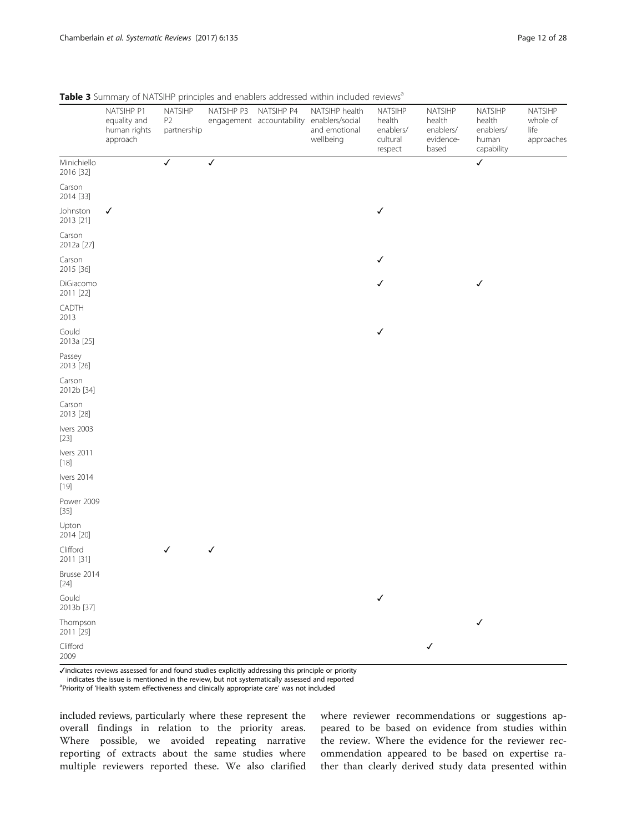|                          | NATSIHP P1<br>equality and<br>human rights<br>approach | NATSIHP<br>P <sub>2</sub><br>partnership | NATSIHP P3 NATSIHP P4 | <b>Table 3</b> January of twitten punciples and chapters addressed within included teviews<br>NATSIHP health<br>engagement accountability enablers/social<br>and emotional<br>wellbeing | NATSIHP<br>health<br>enablers/<br>cultural<br>respect | NATSIHP<br>health<br>enablers/<br>evidence-<br>based | NATSIHP<br>health<br>enablers/<br>human<br>capability | NATSIHP<br>whole of<br>life<br>approaches |
|--------------------------|--------------------------------------------------------|------------------------------------------|-----------------------|-----------------------------------------------------------------------------------------------------------------------------------------------------------------------------------------|-------------------------------------------------------|------------------------------------------------------|-------------------------------------------------------|-------------------------------------------|
| Minichiello<br>2016 [32] |                                                        | $\checkmark$                             | $\checkmark$          |                                                                                                                                                                                         |                                                       |                                                      | $\checkmark$                                          |                                           |
| Carson<br>2014 [33]      |                                                        |                                          |                       |                                                                                                                                                                                         |                                                       |                                                      |                                                       |                                           |
| Johnston<br>2013 [21]    | $\checkmark$                                           |                                          |                       |                                                                                                                                                                                         | $\checkmark$                                          |                                                      |                                                       |                                           |
| Carson<br>2012a [27]     |                                                        |                                          |                       |                                                                                                                                                                                         |                                                       |                                                      |                                                       |                                           |
| Carson<br>2015 [36]      |                                                        |                                          |                       |                                                                                                                                                                                         | $\checkmark$                                          |                                                      |                                                       |                                           |
| DiGiacomo<br>2011 [22]   |                                                        |                                          |                       |                                                                                                                                                                                         | ✓                                                     |                                                      | ✓                                                     |                                           |
| CADTH<br>2013            |                                                        |                                          |                       |                                                                                                                                                                                         |                                                       |                                                      |                                                       |                                           |
| Gould<br>2013a [25]      |                                                        |                                          |                       |                                                                                                                                                                                         | $\checkmark$                                          |                                                      |                                                       |                                           |
| Passey<br>2013 [26]      |                                                        |                                          |                       |                                                                                                                                                                                         |                                                       |                                                      |                                                       |                                           |
| Carson<br>2012b [34]     |                                                        |                                          |                       |                                                                                                                                                                                         |                                                       |                                                      |                                                       |                                           |
| Carson<br>2013 [28]      |                                                        |                                          |                       |                                                                                                                                                                                         |                                                       |                                                      |                                                       |                                           |
| Ivers 2003<br>$[23]$     |                                                        |                                          |                       |                                                                                                                                                                                         |                                                       |                                                      |                                                       |                                           |
| Ivers 2011<br>$[18]$     |                                                        |                                          |                       |                                                                                                                                                                                         |                                                       |                                                      |                                                       |                                           |
| Ivers 2014<br>$[19]$     |                                                        |                                          |                       |                                                                                                                                                                                         |                                                       |                                                      |                                                       |                                           |
| Power 2009<br>$[35]$     |                                                        |                                          |                       |                                                                                                                                                                                         |                                                       |                                                      |                                                       |                                           |
| Upton<br>2014 [20]       |                                                        |                                          |                       |                                                                                                                                                                                         |                                                       |                                                      |                                                       |                                           |
| Clifford<br>2011 [31]    |                                                        | ✓                                        | $\checkmark$          |                                                                                                                                                                                         |                                                       |                                                      |                                                       |                                           |
| Brusse 2014<br>$[24]$    |                                                        |                                          |                       |                                                                                                                                                                                         |                                                       |                                                      |                                                       |                                           |
| Gould<br>2013b [37]      |                                                        |                                          |                       |                                                                                                                                                                                         | ✓                                                     |                                                      |                                                       |                                           |
| Thompson<br>2011 [29]    |                                                        |                                          |                       |                                                                                                                                                                                         |                                                       |                                                      | ✓                                                     |                                           |
| Clifford<br>2009         |                                                        |                                          |                       |                                                                                                                                                                                         |                                                       | $\checkmark$                                         |                                                       |                                           |

<span id="page-11-0"></span>Table 3 Summary of NATSIHP principles and enablers addressed within included reviews<sup>a</sup>

✓indicates reviews assessed for and found studies explicitly addressing this principle or priority

indicates the issue is mentioned in the review, but not systematically assessed and reported

<sup>a</sup>Priority of 'Health system effectiveness and clinically appropriate care' was not included

included reviews, particularly where these represent the overall findings in relation to the priority areas. Where possible, we avoided repeating narrative reporting of extracts about the same studies where multiple reviewers reported these. We also clarified

where reviewer recommendations or suggestions appeared to be based on evidence from studies within the review. Where the evidence for the reviewer recommendation appeared to be based on expertise rather than clearly derived study data presented within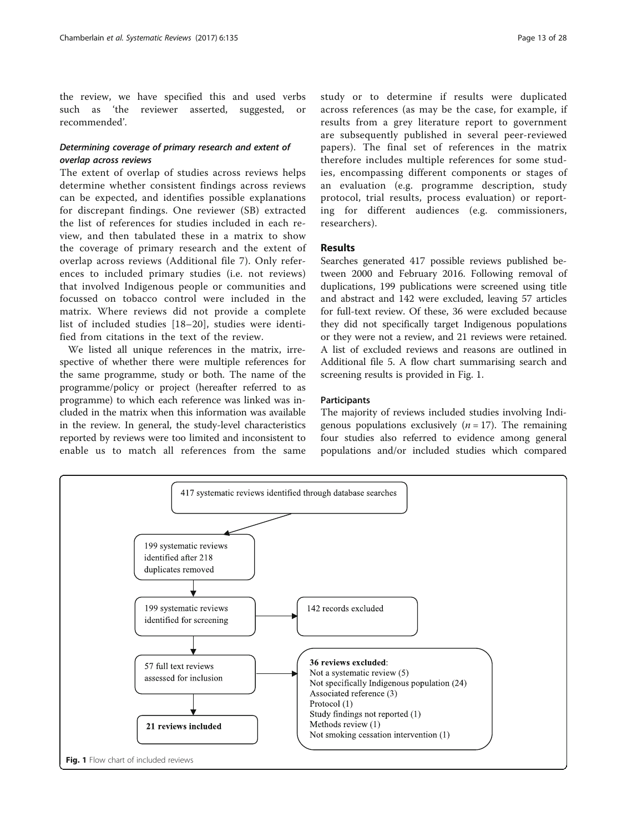the review, we have specified this and used verbs such as 'the reviewer asserted, suggested, or recommended'.

# Determining coverage of primary research and extent of overlap across reviews

The extent of overlap of studies across reviews helps determine whether consistent findings across reviews can be expected, and identifies possible explanations for discrepant findings. One reviewer (SB) extracted the list of references for studies included in each review, and then tabulated these in a matrix to show the coverage of primary research and the extent of overlap across reviews (Additional file [7\)](#page-25-0). Only references to included primary studies (i.e. not reviews) that involved Indigenous people or communities and focussed on tobacco control were included in the matrix. Where reviews did not provide a complete list of included studies [\[18](#page-26-0)–[20\]](#page-26-0), studies were identified from citations in the text of the review.

We listed all unique references in the matrix, irrespective of whether there were multiple references for the same programme, study or both. The name of the programme/policy or project (hereafter referred to as programme) to which each reference was linked was included in the matrix when this information was available in the review. In general, the study-level characteristics reported by reviews were too limited and inconsistent to enable us to match all references from the same study or to determine if results were duplicated across references (as may be the case, for example, if results from a grey literature report to government are subsequently published in several peer-reviewed papers). The final set of references in the matrix therefore includes multiple references for some studies, encompassing different components or stages of an evaluation (e.g. programme description, study protocol, trial results, process evaluation) or reporting for different audiences (e.g. commissioners, researchers).

# Results

Searches generated 417 possible reviews published between 2000 and February 2016. Following removal of duplications, 199 publications were screened using title and abstract and 142 were excluded, leaving 57 articles for full-text review. Of these, 36 were excluded because they did not specifically target Indigenous populations or they were not a review, and 21 reviews were retained. A list of excluded reviews and reasons are outlined in Additional file [5](#page-25-0). A flow chart summarising search and screening results is provided in Fig. 1.

## **Participants**

The majority of reviews included studies involving Indigenous populations exclusively  $(n = 17)$ . The remaining four studies also referred to evidence among general populations and/or included studies which compared

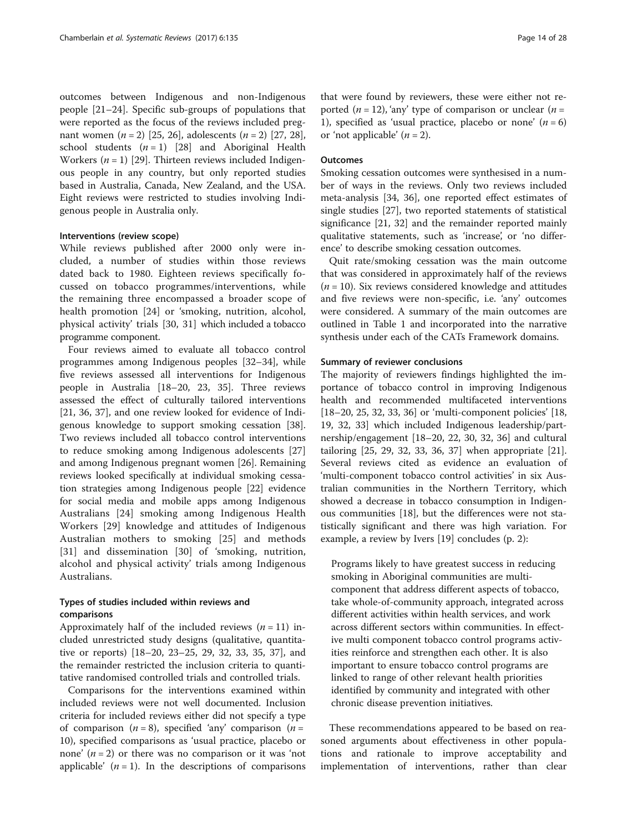outcomes between Indigenous and non-Indigenous people [[21](#page-26-0)–[24](#page-26-0)]. Specific sub-groups of populations that were reported as the focus of the reviews included pregnant women  $(n = 2)$  [\[25, 26](#page-26-0)], adolescents  $(n = 2)$  [\[27](#page-26-0), [28](#page-26-0)], school students  $(n = 1)$  [\[28](#page-26-0)] and Aboriginal Health Workers ( $n = 1$ ) [[29\]](#page-26-0). Thirteen reviews included Indigenous people in any country, but only reported studies based in Australia, Canada, New Zealand, and the USA. Eight reviews were restricted to studies involving Indigenous people in Australia only.

# Interventions (review scope)

While reviews published after 2000 only were included, a number of studies within those reviews dated back to 1980. Eighteen reviews specifically focussed on tobacco programmes/interventions, while the remaining three encompassed a broader scope of health promotion [[24](#page-26-0)] or 'smoking, nutrition, alcohol, physical activity' trials [\[30, 31\]](#page-26-0) which included a tobacco programme component.

Four reviews aimed to evaluate all tobacco control programmes among Indigenous peoples [\[32](#page-26-0)–[34\]](#page-26-0), while five reviews assessed all interventions for Indigenous people in Australia [[18](#page-26-0)–[20](#page-26-0), [23](#page-26-0), [35\]](#page-26-0). Three reviews assessed the effect of culturally tailored interventions [[21, 36, 37](#page-26-0)], and one review looked for evidence of Indigenous knowledge to support smoking cessation [\[38](#page-26-0)]. Two reviews included all tobacco control interventions to reduce smoking among Indigenous adolescents [[27](#page-26-0)] and among Indigenous pregnant women [[26\]](#page-26-0). Remaining reviews looked specifically at individual smoking cessation strategies among Indigenous people [\[22](#page-26-0)] evidence for social media and mobile apps among Indigenous Australians [[24\]](#page-26-0) smoking among Indigenous Health Workers [\[29](#page-26-0)] knowledge and attitudes of Indigenous Australian mothers to smoking [\[25](#page-26-0)] and methods [[31](#page-26-0)] and dissemination [\[30\]](#page-26-0) of 'smoking, nutrition, alcohol and physical activity' trials among Indigenous Australians.

# Types of studies included within reviews and comparisons

Approximately half of the included reviews  $(n = 11)$  included unrestricted study designs (qualitative, quantitative or reports) [\[18](#page-26-0)–[20, 23](#page-26-0)–[25](#page-26-0), [29, 32, 33, 35, 37](#page-26-0)], and the remainder restricted the inclusion criteria to quantitative randomised controlled trials and controlled trials.

Comparisons for the interventions examined within included reviews were not well documented. Inclusion criteria for included reviews either did not specify a type of comparison ( $n = 8$ ), specified 'any' comparison ( $n =$ 10), specified comparisons as 'usual practice, placebo or none'  $(n = 2)$  or there was no comparison or it was 'not applicable'  $(n = 1)$ . In the descriptions of comparisons

that were found by reviewers, these were either not reported ( $n = 12$ ), 'any' type of comparison or unclear ( $n =$ 1), specified as 'usual practice, placebo or none'  $(n = 6)$ or 'not applicable'  $(n = 2)$ .

## **Outcomes**

Smoking cessation outcomes were synthesised in a number of ways in the reviews. Only two reviews included meta-analysis [\[34](#page-26-0), [36\]](#page-26-0), one reported effect estimates of single studies [\[27](#page-26-0)], two reported statements of statistical significance [\[21, 32\]](#page-26-0) and the remainder reported mainly qualitative statements, such as 'increase', or 'no difference' to describe smoking cessation outcomes.

Quit rate/smoking cessation was the main outcome that was considered in approximately half of the reviews  $(n = 10)$ . Six reviews considered knowledge and attitudes and five reviews were non-specific, i.e. 'any' outcomes were considered. A summary of the main outcomes are outlined in Table [1](#page-4-0) and incorporated into the narrative synthesis under each of the CATs Framework domains.

#### Summary of reviewer conclusions

The majority of reviewers findings highlighted the importance of tobacco control in improving Indigenous health and recommended multifaceted interventions [[18](#page-26-0)–[20](#page-26-0), [25](#page-26-0), [32](#page-26-0), [33](#page-26-0), [36](#page-26-0)] or 'multi-component policies' [18, [19, 32](#page-26-0), [33\]](#page-26-0) which included Indigenous leadership/partnership/engagement [[18](#page-26-0)–[20](#page-26-0), [22, 30](#page-26-0), [32, 36\]](#page-26-0) and cultural tailoring [\[25, 29, 32, 33, 36, 37\]](#page-26-0) when appropriate [\[21](#page-26-0)]. Several reviews cited as evidence an evaluation of 'multi-component tobacco control activities' in six Australian communities in the Northern Territory, which showed a decrease in tobacco consumption in Indigenous communities [[18](#page-26-0)], but the differences were not statistically significant and there was high variation. For example, a review by Ivers [[19\]](#page-26-0) concludes (p. 2):

Programs likely to have greatest success in reducing smoking in Aboriginal communities are multicomponent that address different aspects of tobacco, take whole-of-community approach, integrated across different activities within health services, and work across different sectors within communities. In effective multi component tobacco control programs activities reinforce and strengthen each other. It is also important to ensure tobacco control programs are linked to range of other relevant health priorities identified by community and integrated with other chronic disease prevention initiatives.

These recommendations appeared to be based on reasoned arguments about effectiveness in other populations and rationale to improve acceptability and implementation of interventions, rather than clear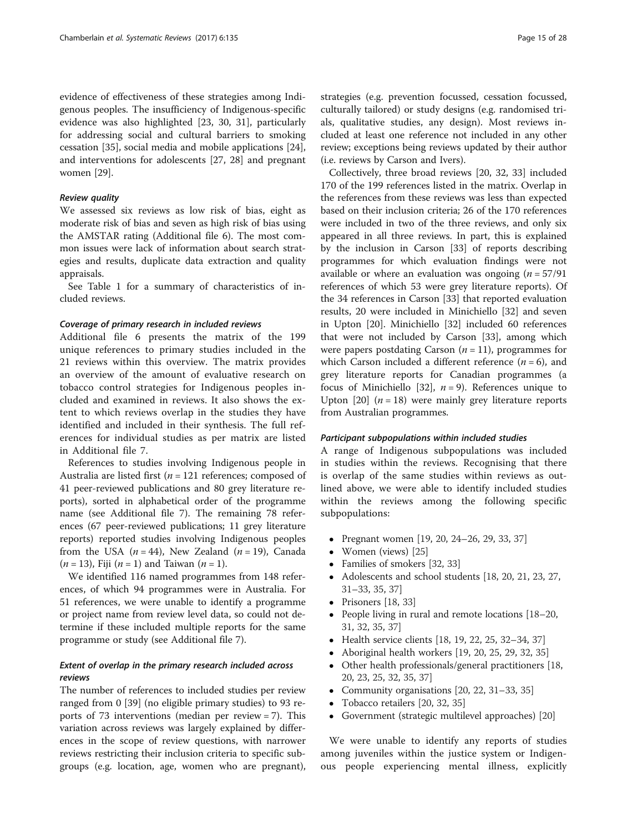genous peoples. The insufficiency of Indigenous-specific evidence was also highlighted [[23, 30](#page-26-0), [31](#page-26-0)], particularly for addressing social and cultural barriers to smoking cessation [[35\]](#page-26-0), social media and mobile applications [\[24](#page-26-0)], and interventions for adolescents [[27](#page-26-0), [28](#page-26-0)] and pregnant women [[29\]](#page-26-0).

# Review quality

We assessed six reviews as low risk of bias, eight as moderate risk of bias and seven as high risk of bias using the AMSTAR rating (Additional file [6](#page-25-0)). The most common issues were lack of information about search strategies and results, duplicate data extraction and quality appraisals.

See Table [1](#page-4-0) for a summary of characteristics of included reviews.

# Coverage of primary research in included reviews

Additional file [6](#page-25-0) presents the matrix of the 199 unique references to primary studies included in the 21 reviews within this overview. The matrix provides an overview of the amount of evaluative research on tobacco control strategies for Indigenous peoples included and examined in reviews. It also shows the extent to which reviews overlap in the studies they have identified and included in their synthesis. The full references for individual studies as per matrix are listed in Additional file [7](#page-25-0).

References to studies involving Indigenous people in Australia are listed first ( $n = 121$  references; composed of 41 peer-reviewed publications and 80 grey literature reports), sorted in alphabetical order of the programme name (see Additional file [7](#page-25-0)). The remaining 78 references (67 peer-reviewed publications; 11 grey literature reports) reported studies involving Indigenous peoples from the USA  $(n = 44)$ , New Zealand  $(n = 19)$ , Canada  $(n = 13)$ , Fiji  $(n = 1)$  and Taiwan  $(n = 1)$ .

We identified 116 named programmes from 148 references, of which 94 programmes were in Australia. For 51 references, we were unable to identify a programme or project name from review level data, so could not determine if these included multiple reports for the same programme or study (see Additional file [7\)](#page-25-0).

# Extent of overlap in the primary research included across reviews

The number of references to included studies per review ranged from 0 [\[39](#page-26-0)] (no eligible primary studies) to 93 reports of 73 interventions (median per review = 7). This variation across reviews was largely explained by differences in the scope of review questions, with narrower reviews restricting their inclusion criteria to specific subgroups (e.g. location, age, women who are pregnant), strategies (e.g. prevention focussed, cessation focussed, culturally tailored) or study designs (e.g. randomised trials, qualitative studies, any design). Most reviews included at least one reference not included in any other review; exceptions being reviews updated by their author (i.e. reviews by Carson and Ivers).

Collectively, three broad reviews [\[20](#page-26-0), [32, 33\]](#page-26-0) included 170 of the 199 references listed in the matrix. Overlap in the references from these reviews was less than expected based on their inclusion criteria; 26 of the 170 references were included in two of the three reviews, and only six appeared in all three reviews. In part, this is explained by the inclusion in Carson [[33\]](#page-26-0) of reports describing programmes for which evaluation findings were not available or where an evaluation was ongoing  $(n = 57/91)$ references of which 53 were grey literature reports). Of the 34 references in Carson [[33\]](#page-26-0) that reported evaluation results, 20 were included in Minichiello [[32\]](#page-26-0) and seven in Upton [\[20](#page-26-0)]. Minichiello [\[32](#page-26-0)] included 60 references that were not included by Carson [\[33\]](#page-26-0), among which were papers postdating Carson  $(n = 11)$ , programmes for which Carson included a different reference  $(n = 6)$ , and grey literature reports for Canadian programmes (a focus of Minichiello [\[32](#page-26-0)],  $n = 9$ ). References unique to Upton [\[20](#page-26-0)]  $(n = 18)$  were mainly grey literature reports from Australian programmes.

# Participant subpopulations within included studies

A range of Indigenous subpopulations was included in studies within the reviews. Recognising that there is overlap of the same studies within reviews as outlined above, we were able to identify included studies within the reviews among the following specific subpopulations:

- Pregnant women [\[19,](#page-26-0) [20,](#page-26-0) [24](#page-26-0)-[26,](#page-26-0) [29,](#page-26-0) [33](#page-26-0), [37\]](#page-26-0)
- Women (views) [[25](#page-26-0)]
- Families of smokers [\[32,](#page-26-0) [33\]](#page-26-0)
- Adolescents and school students [\[18,](#page-26-0) [20](#page-26-0), [21](#page-26-0), [23,](#page-26-0) [27,](#page-26-0) [31](#page-26-0)–[33,](#page-26-0) [35,](#page-26-0) [37](#page-26-0)]
- Prisoners [[18,](#page-26-0) [33](#page-26-0)]
- People living in rural and remote locations [[18](#page-26-0)–[20](#page-26-0), [31](#page-26-0), [32](#page-26-0), [35,](#page-26-0) [37](#page-26-0)]
- $\bullet$  Health service clients [[18](#page-26-0), [19](#page-26-0), [22,](#page-26-0) [25](#page-26-0), [32](#page-26-0)–[34,](#page-26-0) [37](#page-26-0)]
- Aboriginal health workers [[19](#page-26-0), [20,](#page-26-0) [25,](#page-26-0) [29](#page-26-0), [32](#page-26-0), [35\]](#page-26-0)
- Other health professionals/general practitioners [\[18,](#page-26-0) [20](#page-26-0), [23](#page-26-0), [25,](#page-26-0) [32](#page-26-0), [35](#page-26-0), [37\]](#page-26-0)
- Community organisations [\[20,](#page-26-0) [22](#page-26-0), [31](#page-26-0)–[33,](#page-26-0) [35](#page-26-0)]
- Tobacco retailers [\[20,](#page-26-0) [32,](#page-26-0) [35](#page-26-0)]
- Government (strategic multilevel approaches) [\[20\]](#page-26-0)

We were unable to identify any reports of studies among juveniles within the justice system or Indigenous people experiencing mental illness, explicitly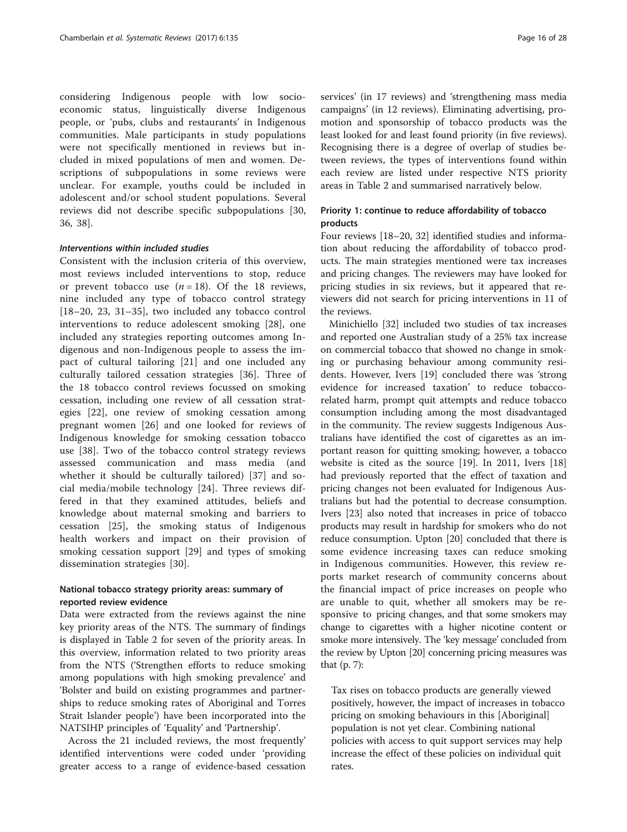considering Indigenous people with low socioeconomic status, linguistically diverse Indigenous people, or 'pubs, clubs and restaurants' in Indigenous communities. Male participants in study populations were not specifically mentioned in reviews but included in mixed populations of men and women. Descriptions of subpopulations in some reviews were unclear. For example, youths could be included in adolescent and/or school student populations. Several reviews did not describe specific subpopulations [\[30](#page-26-0), [36, 38\]](#page-26-0).

# Interventions within included studies

Consistent with the inclusion criteria of this overview, most reviews included interventions to stop, reduce or prevent tobacco use  $(n = 18)$ . Of the 18 reviews, nine included any type of tobacco control strategy [[18](#page-26-0)–[20, 23, 31](#page-26-0)–[35](#page-26-0)], two included any tobacco control interventions to reduce adolescent smoking [[28\]](#page-26-0), one included any strategies reporting outcomes among Indigenous and non-Indigenous people to assess the impact of cultural tailoring [[21\]](#page-26-0) and one included any culturally tailored cessation strategies [[36\]](#page-26-0). Three of the 18 tobacco control reviews focussed on smoking cessation, including one review of all cessation strategies [\[22](#page-26-0)], one review of smoking cessation among pregnant women [[26\]](#page-26-0) and one looked for reviews of Indigenous knowledge for smoking cessation tobacco use [\[38](#page-26-0)]. Two of the tobacco control strategy reviews assessed communication and mass media (and whether it should be culturally tailored) [[37\]](#page-26-0) and social media/mobile technology [[24](#page-26-0)]. Three reviews differed in that they examined attitudes, beliefs and knowledge about maternal smoking and barriers to cessation [\[25](#page-26-0)], the smoking status of Indigenous health workers and impact on their provision of smoking cessation support [[29\]](#page-26-0) and types of smoking dissemination strategies [\[30](#page-26-0)].

# National tobacco strategy priority areas: summary of reported review evidence

Data were extracted from the reviews against the nine key priority areas of the NTS. The summary of findings is displayed in Table [2](#page-10-0) for seven of the priority areas. In this overview, information related to two priority areas from the NTS ('Strengthen efforts to reduce smoking among populations with high smoking prevalence' and 'Bolster and build on existing programmes and partnerships to reduce smoking rates of Aboriginal and Torres Strait Islander people') have been incorporated into the NATSIHP principles of 'Equality' and 'Partnership'.

Across the 21 included reviews, the most frequently' identified interventions were coded under 'providing greater access to a range of evidence-based cessation services' (in 17 reviews) and 'strengthening mass media campaigns' (in 12 reviews). Eliminating advertising, promotion and sponsorship of tobacco products was the least looked for and least found priority (in five reviews). Recognising there is a degree of overlap of studies between reviews, the types of interventions found within each review are listed under respective NTS priority areas in Table [2](#page-10-0) and summarised narratively below.

# Priority 1: continue to reduce affordability of tobacco products

Four reviews [[18](#page-26-0)–[20, 32\]](#page-26-0) identified studies and information about reducing the affordability of tobacco products. The main strategies mentioned were tax increases and pricing changes. The reviewers may have looked for pricing studies in six reviews, but it appeared that reviewers did not search for pricing interventions in 11 of the reviews.

Minichiello [\[32](#page-26-0)] included two studies of tax increases and reported one Australian study of a 25% tax increase on commercial tobacco that showed no change in smoking or purchasing behaviour among community residents. However, Ivers [[19\]](#page-26-0) concluded there was 'strong evidence for increased taxation' to reduce tobaccorelated harm, prompt quit attempts and reduce tobacco consumption including among the most disadvantaged in the community. The review suggests Indigenous Australians have identified the cost of cigarettes as an important reason for quitting smoking; however, a tobacco website is cited as the source [\[19\]](#page-26-0). In 2011, Ivers [[18](#page-26-0)] had previously reported that the effect of taxation and pricing changes not been evaluated for Indigenous Australians but had the potential to decrease consumption. Ivers [[23\]](#page-26-0) also noted that increases in price of tobacco products may result in hardship for smokers who do not reduce consumption. Upton [\[20\]](#page-26-0) concluded that there is some evidence increasing taxes can reduce smoking in Indigenous communities. However, this review reports market research of community concerns about the financial impact of price increases on people who are unable to quit, whether all smokers may be responsive to pricing changes, and that some smokers may change to cigarettes with a higher nicotine content or smoke more intensively. The 'key message' concluded from the review by Upton [[20](#page-26-0)] concerning pricing measures was that (p. 7):

Tax rises on tobacco products are generally viewed positively, however, the impact of increases in tobacco pricing on smoking behaviours in this [Aboriginal] population is not yet clear. Combining national policies with access to quit support services may help increase the effect of these policies on individual quit rates.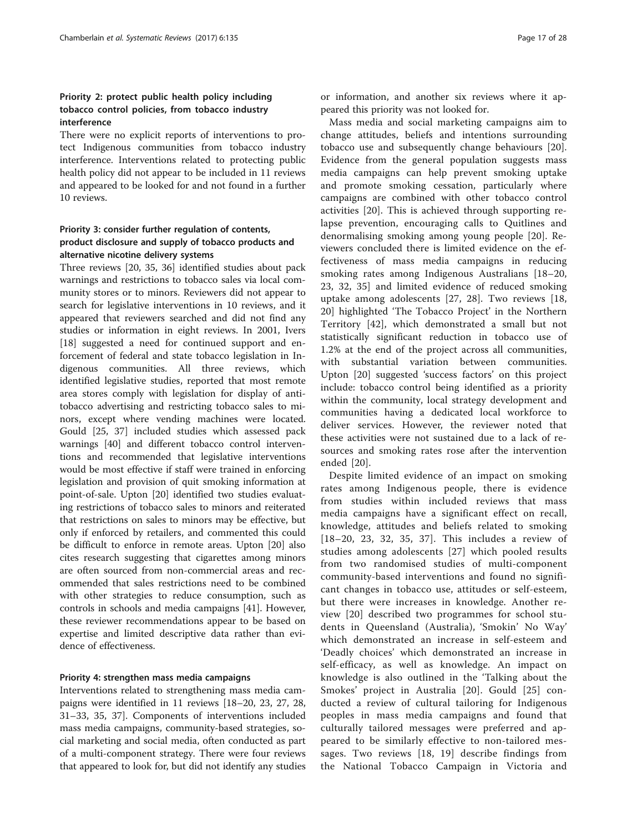# Priority 2: protect public health policy including tobacco control policies, from tobacco industry interference

There were no explicit reports of interventions to protect Indigenous communities from tobacco industry interference. Interventions related to protecting public health policy did not appear to be included in 11 reviews and appeared to be looked for and not found in a further 10 reviews.

# Priority 3: consider further regulation of contents, product disclosure and supply of tobacco products and alternative nicotine delivery systems

Three reviews [\[20, 35, 36](#page-26-0)] identified studies about pack warnings and restrictions to tobacco sales via local community stores or to minors. Reviewers did not appear to search for legislative interventions in 10 reviews, and it appeared that reviewers searched and did not find any studies or information in eight reviews. In 2001, Ivers [[18\]](#page-26-0) suggested a need for continued support and enforcement of federal and state tobacco legislation in Indigenous communities. All three reviews, which identified legislative studies, reported that most remote area stores comply with legislation for display of antitobacco advertising and restricting tobacco sales to minors, except where vending machines were located. Gould [\[25, 37\]](#page-26-0) included studies which assessed pack warnings [\[40\]](#page-26-0) and different tobacco control interventions and recommended that legislative interventions would be most effective if staff were trained in enforcing legislation and provision of quit smoking information at point-of-sale. Upton [[20](#page-26-0)] identified two studies evaluating restrictions of tobacco sales to minors and reiterated that restrictions on sales to minors may be effective, but only if enforced by retailers, and commented this could be difficult to enforce in remote areas. Upton [[20](#page-26-0)] also cites research suggesting that cigarettes among minors are often sourced from non-commercial areas and recommended that sales restrictions need to be combined with other strategies to reduce consumption, such as controls in schools and media campaigns [\[41\]](#page-26-0). However, these reviewer recommendations appear to be based on expertise and limited descriptive data rather than evidence of effectiveness.

# Priority 4: strengthen mass media campaigns

Interventions related to strengthening mass media campaigns were identified in 11 reviews [\[18](#page-26-0)–[20, 23, 27, 28](#page-26-0), [31](#page-26-0)–[33](#page-26-0), [35](#page-26-0), [37](#page-26-0)]. Components of interventions included mass media campaigns, community-based strategies, social marketing and social media, often conducted as part of a multi-component strategy. There were four reviews that appeared to look for, but did not identify any studies or information, and another six reviews where it appeared this priority was not looked for.

Mass media and social marketing campaigns aim to change attitudes, beliefs and intentions surrounding tobacco use and subsequently change behaviours [\[20](#page-26-0)]. Evidence from the general population suggests mass media campaigns can help prevent smoking uptake and promote smoking cessation, particularly where campaigns are combined with other tobacco control activities [\[20](#page-26-0)]. This is achieved through supporting relapse prevention, encouraging calls to Quitlines and denormalising smoking among young people [[20\]](#page-26-0). Reviewers concluded there is limited evidence on the effectiveness of mass media campaigns in reducing smoking rates among Indigenous Australians [\[18](#page-26-0)–[20](#page-26-0), [23, 32, 35\]](#page-26-0) and limited evidence of reduced smoking uptake among adolescents [\[27](#page-26-0), [28](#page-26-0)]. Two reviews [\[18](#page-26-0), [20\]](#page-26-0) highlighted 'The Tobacco Project' in the Northern Territory [[42\]](#page-26-0), which demonstrated a small but not statistically significant reduction in tobacco use of 1.2% at the end of the project across all communities, with substantial variation between communities. Upton [\[20](#page-26-0)] suggested 'success factors' on this project include: tobacco control being identified as a priority within the community, local strategy development and communities having a dedicated local workforce to deliver services. However, the reviewer noted that these activities were not sustained due to a lack of resources and smoking rates rose after the intervention ended [[20\]](#page-26-0).

Despite limited evidence of an impact on smoking rates among Indigenous people, there is evidence from studies within included reviews that mass media campaigns have a significant effect on recall, knowledge, attitudes and beliefs related to smoking [[18](#page-26-0)–[20, 23](#page-26-0), [32, 35](#page-26-0), [37\]](#page-26-0). This includes a review of studies among adolescents [[27](#page-26-0)] which pooled results from two randomised studies of multi-component community-based interventions and found no significant changes in tobacco use, attitudes or self-esteem, but there were increases in knowledge. Another review [[20\]](#page-26-0) described two programmes for school students in Queensland (Australia), 'Smokin' No Way' which demonstrated an increase in self-esteem and 'Deadly choices' which demonstrated an increase in self-efficacy, as well as knowledge. An impact on knowledge is also outlined in the 'Talking about the Smokes' project in Australia [[20\]](#page-26-0). Gould [[25](#page-26-0)] conducted a review of cultural tailoring for Indigenous peoples in mass media campaigns and found that culturally tailored messages were preferred and appeared to be similarly effective to non-tailored messages. Two reviews [[18](#page-26-0), [19\]](#page-26-0) describe findings from the National Tobacco Campaign in Victoria and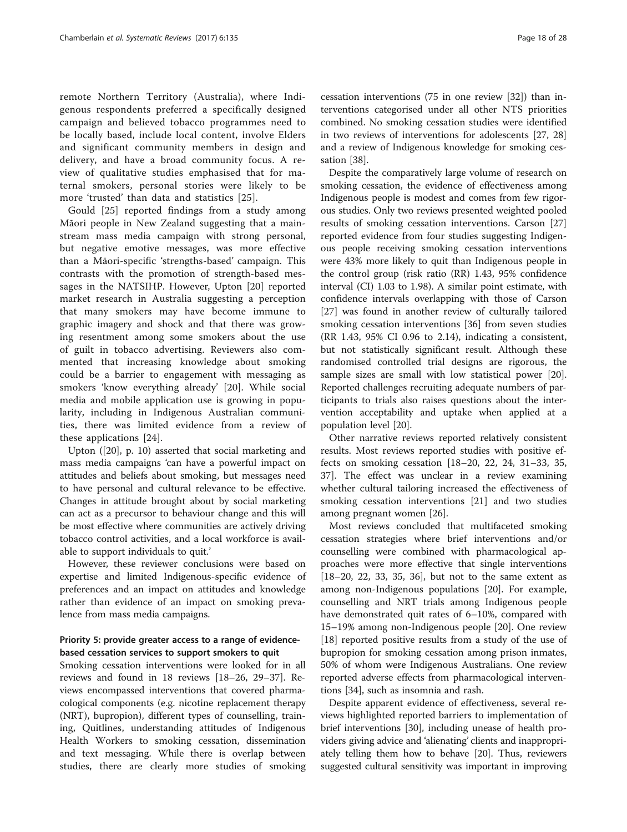remote Northern Territory (Australia), where Indigenous respondents preferred a specifically designed campaign and believed tobacco programmes need to be locally based, include local content, involve Elders and significant community members in design and delivery, and have a broad community focus. A review of qualitative studies emphasised that for maternal smokers, personal stories were likely to be more 'trusted' than data and statistics [\[25\]](#page-26-0).

Gould [\[25](#page-26-0)] reported findings from a study among Māori people in New Zealand suggesting that a mainstream mass media campaign with strong personal, but negative emotive messages, was more effective than a Māori-specific 'strengths-based' campaign. This contrasts with the promotion of strength-based messages in the NATSIHP. However, Upton [[20\]](#page-26-0) reported market research in Australia suggesting a perception that many smokers may have become immune to graphic imagery and shock and that there was growing resentment among some smokers about the use of guilt in tobacco advertising. Reviewers also commented that increasing knowledge about smoking could be a barrier to engagement with messaging as smokers 'know everything already' [[20\]](#page-26-0). While social media and mobile application use is growing in popularity, including in Indigenous Australian communities, there was limited evidence from a review of these applications [\[24](#page-26-0)].

Upton ([[20\]](#page-26-0), p. 10) asserted that social marketing and mass media campaigns 'can have a powerful impact on attitudes and beliefs about smoking, but messages need to have personal and cultural relevance to be effective. Changes in attitude brought about by social marketing can act as a precursor to behaviour change and this will be most effective where communities are actively driving tobacco control activities, and a local workforce is available to support individuals to quit.'

However, these reviewer conclusions were based on expertise and limited Indigenous-specific evidence of preferences and an impact on attitudes and knowledge rather than evidence of an impact on smoking prevalence from mass media campaigns.

# Priority 5: provide greater access to a range of evidencebased cessation services to support smokers to quit

Smoking cessation interventions were looked for in all reviews and found in 18 reviews [[18](#page-26-0)–[26](#page-26-0), [29](#page-26-0)–[37](#page-26-0)]. Reviews encompassed interventions that covered pharmacological components (e.g. nicotine replacement therapy (NRT), bupropion), different types of counselling, training, Quitlines, understanding attitudes of Indigenous Health Workers to smoking cessation, dissemination and text messaging. While there is overlap between studies, there are clearly more studies of smoking

cessation interventions (75 in one review [[32\]](#page-26-0)) than interventions categorised under all other NTS priorities combined. No smoking cessation studies were identified in two reviews of interventions for adolescents [[27](#page-26-0), [28](#page-26-0)] and a review of Indigenous knowledge for smoking cessation [\[38](#page-26-0)].

Despite the comparatively large volume of research on smoking cessation, the evidence of effectiveness among Indigenous people is modest and comes from few rigorous studies. Only two reviews presented weighted pooled results of smoking cessation interventions. Carson [[27](#page-26-0)] reported evidence from four studies suggesting Indigenous people receiving smoking cessation interventions were 43% more likely to quit than Indigenous people in the control group (risk ratio (RR) 1.43, 95% confidence interval (CI) 1.03 to 1.98). A similar point estimate, with confidence intervals overlapping with those of Carson [[27\]](#page-26-0) was found in another review of culturally tailored smoking cessation interventions [\[36\]](#page-26-0) from seven studies (RR 1.43, 95% CI 0.96 to 2.14), indicating a consistent, but not statistically significant result. Although these randomised controlled trial designs are rigorous, the sample sizes are small with low statistical power [\[20](#page-26-0)]. Reported challenges recruiting adequate numbers of participants to trials also raises questions about the intervention acceptability and uptake when applied at a population level [\[20](#page-26-0)].

Other narrative reviews reported relatively consistent results. Most reviews reported studies with positive effects on smoking cessation [\[18](#page-26-0)–[20, 22](#page-26-0), [24](#page-26-0), [31](#page-26-0)–[33, 35](#page-26-0), [37\]](#page-26-0). The effect was unclear in a review examining whether cultural tailoring increased the effectiveness of smoking cessation interventions [\[21](#page-26-0)] and two studies among pregnant women [[26\]](#page-26-0).

Most reviews concluded that multifaceted smoking cessation strategies where brief interventions and/or counselling were combined with pharmacological approaches were more effective that single interventions [[18](#page-26-0)–[20](#page-26-0), [22, 33](#page-26-0), [35, 36](#page-26-0)], but not to the same extent as among non-Indigenous populations [\[20](#page-26-0)]. For example, counselling and NRT trials among Indigenous people have demonstrated quit rates of 6–10%, compared with 15–19% among non-Indigenous people [[20\]](#page-26-0). One review [[18\]](#page-26-0) reported positive results from a study of the use of bupropion for smoking cessation among prison inmates, 50% of whom were Indigenous Australians. One review reported adverse effects from pharmacological interventions [[34\]](#page-26-0), such as insomnia and rash.

Despite apparent evidence of effectiveness, several reviews highlighted reported barriers to implementation of brief interventions [[30\]](#page-26-0), including unease of health providers giving advice and 'alienating' clients and inappropriately telling them how to behave [[20](#page-26-0)]. Thus, reviewers suggested cultural sensitivity was important in improving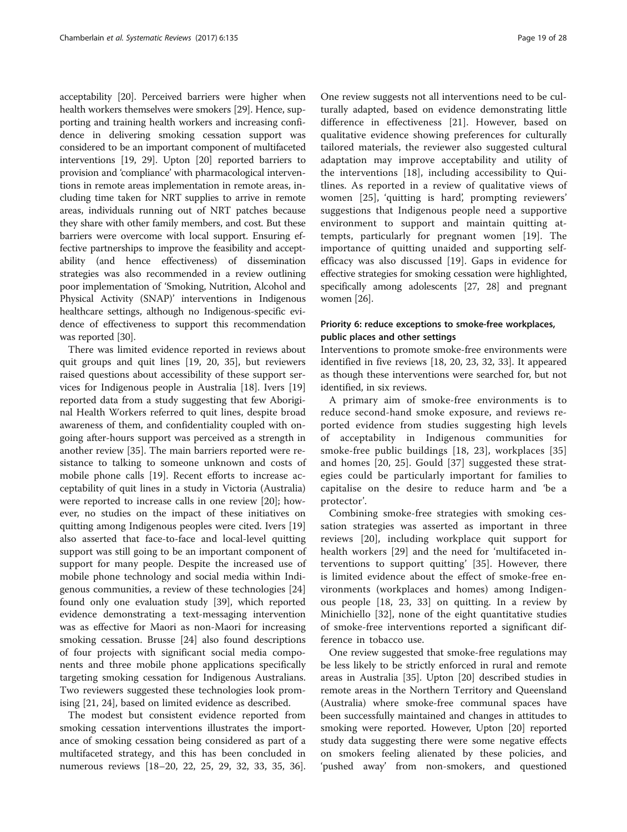acceptability [[20](#page-26-0)]. Perceived barriers were higher when health workers themselves were smokers [\[29\]](#page-26-0). Hence, supporting and training health workers and increasing confidence in delivering smoking cessation support was considered to be an important component of multifaceted interventions [[19](#page-26-0), [29](#page-26-0)]. Upton [[20\]](#page-26-0) reported barriers to provision and 'compliance' with pharmacological interventions in remote areas implementation in remote areas, including time taken for NRT supplies to arrive in remote areas, individuals running out of NRT patches because they share with other family members, and cost. But these barriers were overcome with local support. Ensuring effective partnerships to improve the feasibility and acceptability (and hence effectiveness) of dissemination strategies was also recommended in a review outlining poor implementation of 'Smoking, Nutrition, Alcohol and Physical Activity (SNAP)' interventions in Indigenous healthcare settings, although no Indigenous-specific evidence of effectiveness to support this recommendation was reported [\[30\]](#page-26-0).

There was limited evidence reported in reviews about quit groups and quit lines [\[19](#page-26-0), [20](#page-26-0), [35](#page-26-0)], but reviewers raised questions about accessibility of these support services for Indigenous people in Australia [[18\]](#page-26-0). Ivers [[19](#page-26-0)] reported data from a study suggesting that few Aboriginal Health Workers referred to quit lines, despite broad awareness of them, and confidentiality coupled with ongoing after-hours support was perceived as a strength in another review [[35\]](#page-26-0). The main barriers reported were resistance to talking to someone unknown and costs of mobile phone calls [[19\]](#page-26-0). Recent efforts to increase acceptability of quit lines in a study in Victoria (Australia) were reported to increase calls in one review [[20\]](#page-26-0); however, no studies on the impact of these initiatives on quitting among Indigenous peoples were cited. Ivers [[19](#page-26-0)] also asserted that face-to-face and local-level quitting support was still going to be an important component of support for many people. Despite the increased use of mobile phone technology and social media within Indigenous communities, a review of these technologies [[24](#page-26-0)] found only one evaluation study [[39\]](#page-26-0), which reported evidence demonstrating a text-messaging intervention was as effective for Maori as non-Maori for increasing smoking cessation. Brusse [[24](#page-26-0)] also found descriptions of four projects with significant social media components and three mobile phone applications specifically targeting smoking cessation for Indigenous Australians. Two reviewers suggested these technologies look promising [[21, 24\]](#page-26-0), based on limited evidence as described.

The modest but consistent evidence reported from smoking cessation interventions illustrates the importance of smoking cessation being considered as part of a multifaceted strategy, and this has been concluded in numerous reviews [\[18](#page-26-0)–[20, 22, 25, 29, 32](#page-26-0), [33](#page-26-0), [35](#page-26-0), [36](#page-26-0)]. One review suggests not all interventions need to be culturally adapted, based on evidence demonstrating little difference in effectiveness [[21\]](#page-26-0). However, based on qualitative evidence showing preferences for culturally tailored materials, the reviewer also suggested cultural adaptation may improve acceptability and utility of the interventions [\[18](#page-26-0)], including accessibility to Quitlines. As reported in a review of qualitative views of women [[25\]](#page-26-0), 'quitting is hard', prompting reviewers' suggestions that Indigenous people need a supportive environment to support and maintain quitting attempts, particularly for pregnant women [[19\]](#page-26-0). The importance of quitting unaided and supporting selfefficacy was also discussed [[19\]](#page-26-0). Gaps in evidence for effective strategies for smoking cessation were highlighted, specifically among adolescents [[27](#page-26-0), [28\]](#page-26-0) and pregnant women [\[26\]](#page-26-0).

# Priority 6: reduce exceptions to smoke-free workplaces, public places and other settings

Interventions to promote smoke-free environments were identified in five reviews [\[18, 20](#page-26-0), [23, 32, 33](#page-26-0)]. It appeared as though these interventions were searched for, but not identified, in six reviews.

A primary aim of smoke-free environments is to reduce second-hand smoke exposure, and reviews reported evidence from studies suggesting high levels of acceptability in Indigenous communities for smoke-free public buildings [\[18](#page-26-0), [23](#page-26-0)], workplaces [\[35](#page-26-0)] and homes [[20](#page-26-0), [25](#page-26-0)]. Gould [\[37\]](#page-26-0) suggested these strategies could be particularly important for families to capitalise on the desire to reduce harm and 'be a protector'.

Combining smoke-free strategies with smoking cessation strategies was asserted as important in three reviews [[20\]](#page-26-0), including workplace quit support for health workers [[29\]](#page-26-0) and the need for 'multifaceted interventions to support quitting' [\[35](#page-26-0)]. However, there is limited evidence about the effect of smoke-free environments (workplaces and homes) among Indigenous people [[18, 23, 33](#page-26-0)] on quitting. In a review by Minichiello [\[32](#page-26-0)], none of the eight quantitative studies of smoke-free interventions reported a significant difference in tobacco use.

One review suggested that smoke-free regulations may be less likely to be strictly enforced in rural and remote areas in Australia [[35\]](#page-26-0). Upton [\[20](#page-26-0)] described studies in remote areas in the Northern Territory and Queensland (Australia) where smoke-free communal spaces have been successfully maintained and changes in attitudes to smoking were reported. However, Upton [\[20\]](#page-26-0) reported study data suggesting there were some negative effects on smokers feeling alienated by these policies, and 'pushed away' from non-smokers, and questioned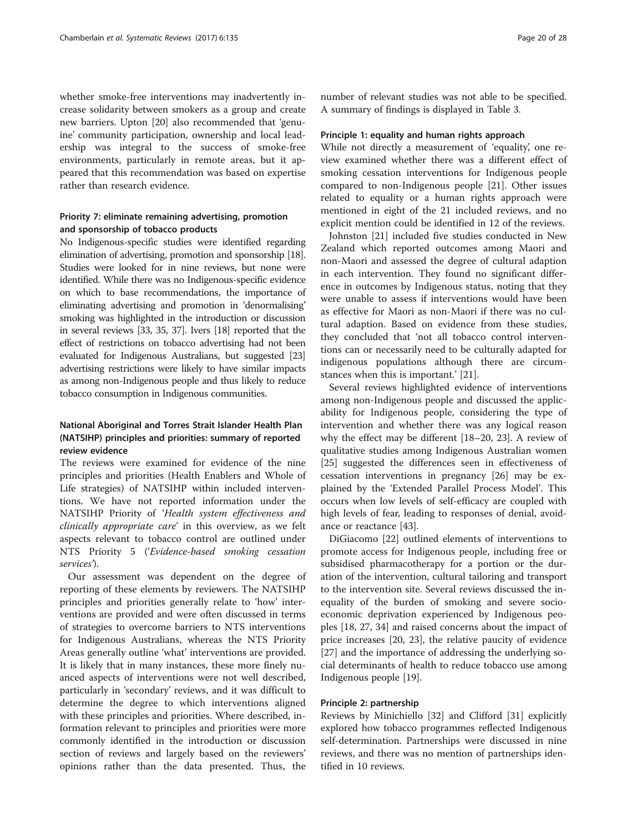whether smoke-free interventions may inadvertently increase solidarity between smokers as a group and create new barriers. Upton [\[20\]](#page-26-0) also recommended that 'genuine' community participation, ownership and local leadership was integral to the success of smoke-free environments, particularly in remote areas, but it appeared that this recommendation was based on expertise rather than research evidence.

# Priority 7: eliminate remaining advertising, promotion and sponsorship of tobacco products

No Indigenous-specific studies were identified regarding elimination of advertising, promotion and sponsorship [\[18](#page-26-0)]. Studies were looked for in nine reviews, but none were identified. While there was no Indigenous-specific evidence on which to base recommendations, the importance of eliminating advertising and promotion in 'denormalising' smoking was highlighted in the introduction or discussion in several reviews [\[33, 35, 37\]](#page-26-0). Ivers [\[18\]](#page-26-0) reported that the effect of restrictions on tobacco advertising had not been evaluated for Indigenous Australians, but suggested [\[23](#page-26-0)] advertising restrictions were likely to have similar impacts as among non-Indigenous people and thus likely to reduce tobacco consumption in Indigenous communities.

# National Aboriginal and Torres Strait Islander Health Plan (NATSIHP) principles and priorities: summary of reported review evidence

The reviews were examined for evidence of the nine principles and priorities (Health Enablers and Whole of Life strategies) of NATSIHP within included interventions. We have not reported information under the NATSIHP Priority of 'Health system effectiveness and clinically appropriate care' in this overview, as we felt aspects relevant to tobacco control are outlined under NTS Priority 5 ('Evidence-based smoking cessation services').

Our assessment was dependent on the degree of reporting of these elements by reviewers. The NATSIHP principles and priorities generally relate to 'how' interventions are provided and were often discussed in terms of strategies to overcome barriers to NTS interventions for Indigenous Australians, whereas the NTS Priority Areas generally outline 'what' interventions are provided. It is likely that in many instances, these more finely nuanced aspects of interventions were not well described, particularly in 'secondary' reviews, and it was difficult to determine the degree to which interventions aligned with these principles and priorities. Where described, information relevant to principles and priorities were more commonly identified in the introduction or discussion section of reviews and largely based on the reviewers' opinions rather than the data presented. Thus, the number of relevant studies was not able to be specified. A summary of findings is displayed in Table [3.](#page-11-0)

## Principle 1: equality and human rights approach

While not directly a measurement of 'equality', one review examined whether there was a different effect of smoking cessation interventions for Indigenous people compared to non-Indigenous people [[21](#page-26-0)]. Other issues related to equality or a human rights approach were mentioned in eight of the 21 included reviews, and no explicit mention could be identified in 12 of the reviews.

Johnston [\[21\]](#page-26-0) included five studies conducted in New Zealand which reported outcomes among Maori and non-Maori and assessed the degree of cultural adaption in each intervention. They found no significant difference in outcomes by Indigenous status, noting that they were unable to assess if interventions would have been as effective for Maori as non-Maori if there was no cultural adaption. Based on evidence from these studies, they concluded that 'not all tobacco control interventions can or necessarily need to be culturally adapted for indigenous populations although there are circumstances when this is important.' [\[21\]](#page-26-0).

Several reviews highlighted evidence of interventions among non-Indigenous people and discussed the applicability for Indigenous people, considering the type of intervention and whether there was any logical reason why the effect may be different [[18](#page-26-0)–[20](#page-26-0), [23\]](#page-26-0). A review of qualitative studies among Indigenous Australian women [[25\]](#page-26-0) suggested the differences seen in effectiveness of cessation interventions in pregnancy [\[26](#page-26-0)] may be explained by the 'Extended Parallel Process Model'. This occurs when low levels of self-efficacy are coupled with high levels of fear, leading to responses of denial, avoidance or reactance [[43\]](#page-26-0).

DiGiacomo [\[22](#page-26-0)] outlined elements of interventions to promote access for Indigenous people, including free or subsidised pharmacotherapy for a portion or the duration of the intervention, cultural tailoring and transport to the intervention site. Several reviews discussed the inequality of the burden of smoking and severe socioeconomic deprivation experienced by Indigenous peoples [[18, 27, 34\]](#page-26-0) and raised concerns about the impact of price increases [[20, 23](#page-26-0)], the relative paucity of evidence [[27\]](#page-26-0) and the importance of addressing the underlying social determinants of health to reduce tobacco use among Indigenous people [[19\]](#page-26-0).

#### Principle 2: partnership

Reviews by Minichiello [\[32](#page-26-0)] and Clifford [[31\]](#page-26-0) explicitly explored how tobacco programmes reflected Indigenous self-determination. Partnerships were discussed in nine reviews, and there was no mention of partnerships identified in 10 reviews.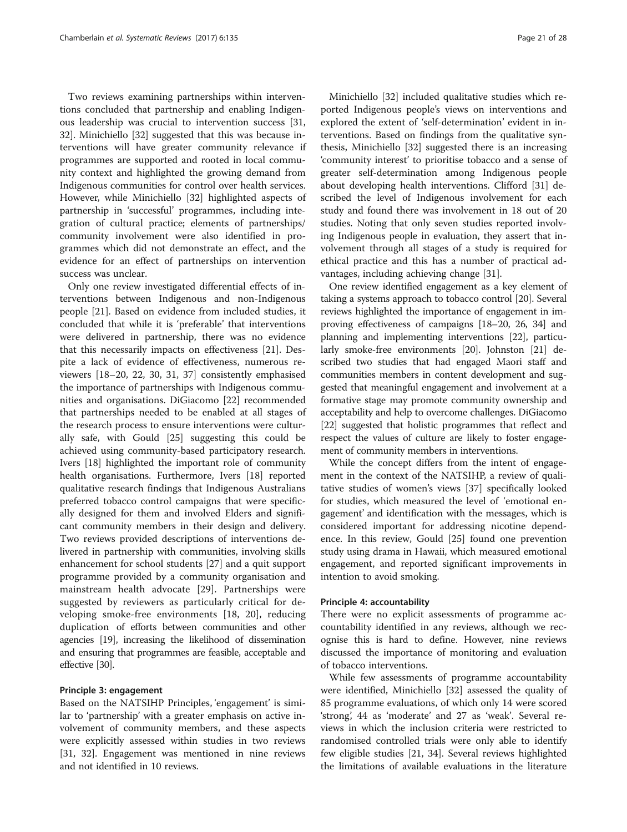Two reviews examining partnerships within interventions concluded that partnership and enabling Indigenous leadership was crucial to intervention success [[31](#page-26-0), [32\]](#page-26-0). Minichiello [\[32](#page-26-0)] suggested that this was because interventions will have greater community relevance if programmes are supported and rooted in local community context and highlighted the growing demand from Indigenous communities for control over health services. However, while Minichiello [\[32](#page-26-0)] highlighted aspects of partnership in 'successful' programmes, including integration of cultural practice; elements of partnerships/ community involvement were also identified in programmes which did not demonstrate an effect, and the evidence for an effect of partnerships on intervention success was unclear.

Only one review investigated differential effects of interventions between Indigenous and non-Indigenous people [\[21](#page-26-0)]. Based on evidence from included studies, it concluded that while it is 'preferable' that interventions were delivered in partnership, there was no evidence that this necessarily impacts on effectiveness [\[21](#page-26-0)]. Despite a lack of evidence of effectiveness, numerous reviewers [\[18](#page-26-0)–[20, 22, 30, 31, 37\]](#page-26-0) consistently emphasised the importance of partnerships with Indigenous communities and organisations. DiGiacomo [\[22\]](#page-26-0) recommended that partnerships needed to be enabled at all stages of the research process to ensure interventions were culturally safe, with Gould [\[25](#page-26-0)] suggesting this could be achieved using community-based participatory research. Ivers [[18](#page-26-0)] highlighted the important role of community health organisations. Furthermore, Ivers [\[18\]](#page-26-0) reported qualitative research findings that Indigenous Australians preferred tobacco control campaigns that were specifically designed for them and involved Elders and significant community members in their design and delivery. Two reviews provided descriptions of interventions delivered in partnership with communities, involving skills enhancement for school students [[27\]](#page-26-0) and a quit support programme provided by a community organisation and mainstream health advocate [\[29](#page-26-0)]. Partnerships were suggested by reviewers as particularly critical for developing smoke-free environments [\[18](#page-26-0), [20](#page-26-0)], reducing duplication of efforts between communities and other agencies [[19\]](#page-26-0), increasing the likelihood of dissemination and ensuring that programmes are feasible, acceptable and effective [\[30\]](#page-26-0).

#### Principle 3: engagement

Based on the NATSIHP Principles, 'engagement' is similar to 'partnership' with a greater emphasis on active involvement of community members, and these aspects were explicitly assessed within studies in two reviews [[31, 32](#page-26-0)]. Engagement was mentioned in nine reviews and not identified in 10 reviews.

Minichiello [[32\]](#page-26-0) included qualitative studies which reported Indigenous people's views on interventions and explored the extent of 'self-determination' evident in interventions. Based on findings from the qualitative synthesis, Minichiello [[32\]](#page-26-0) suggested there is an increasing 'community interest' to prioritise tobacco and a sense of greater self-determination among Indigenous people about developing health interventions. Clifford [\[31](#page-26-0)] described the level of Indigenous involvement for each study and found there was involvement in 18 out of 20 studies. Noting that only seven studies reported involving Indigenous people in evaluation, they assert that involvement through all stages of a study is required for ethical practice and this has a number of practical advantages, including achieving change [[31\]](#page-26-0).

One review identified engagement as a key element of taking a systems approach to tobacco control [\[20](#page-26-0)]. Several reviews highlighted the importance of engagement in improving effectiveness of campaigns [[18](#page-26-0)–[20, 26](#page-26-0), [34\]](#page-26-0) and planning and implementing interventions [[22\]](#page-26-0), particularly smoke-free environments [[20\]](#page-26-0). Johnston [\[21\]](#page-26-0) described two studies that had engaged Maori staff and communities members in content development and suggested that meaningful engagement and involvement at a formative stage may promote community ownership and acceptability and help to overcome challenges. DiGiacomo [[22](#page-26-0)] suggested that holistic programmes that reflect and respect the values of culture are likely to foster engagement of community members in interventions.

While the concept differs from the intent of engagement in the context of the NATSIHP, a review of qualitative studies of women's views [\[37](#page-26-0)] specifically looked for studies, which measured the level of 'emotional engagement' and identification with the messages, which is considered important for addressing nicotine dependence. In this review, Gould [\[25\]](#page-26-0) found one prevention study using drama in Hawaii, which measured emotional engagement, and reported significant improvements in intention to avoid smoking.

# Principle 4: accountability

There were no explicit assessments of programme accountability identified in any reviews, although we recognise this is hard to define. However, nine reviews discussed the importance of monitoring and evaluation of tobacco interventions.

While few assessments of programme accountability were identified, Minichiello [[32\]](#page-26-0) assessed the quality of 85 programme evaluations, of which only 14 were scored 'strong', 44 as 'moderate' and 27 as 'weak'. Several reviews in which the inclusion criteria were restricted to randomised controlled trials were only able to identify few eligible studies [[21, 34](#page-26-0)]. Several reviews highlighted the limitations of available evaluations in the literature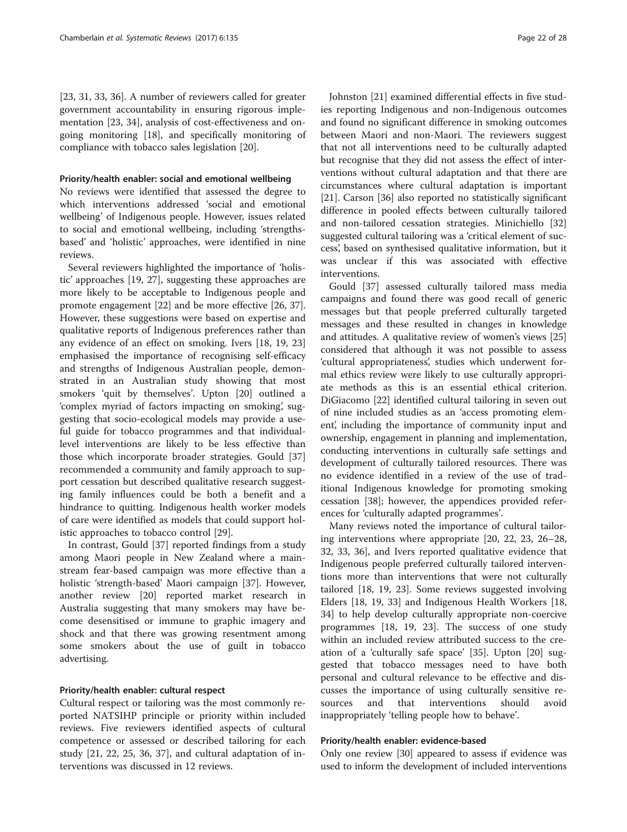[[23, 31, 33, 36\]](#page-26-0). A number of reviewers called for greater government accountability in ensuring rigorous implementation [[23, 34\]](#page-26-0), analysis of cost-effectiveness and ongoing monitoring [[18](#page-26-0)], and specifically monitoring of compliance with tobacco sales legislation [[20\]](#page-26-0).

## Priority/health enabler: social and emotional wellbeing

No reviews were identified that assessed the degree to which interventions addressed 'social and emotional wellbeing' of Indigenous people. However, issues related to social and emotional wellbeing, including 'strengthsbased' and 'holistic' approaches, were identified in nine reviews.

Several reviewers highlighted the importance of 'holistic' approaches [\[19](#page-26-0), [27\]](#page-26-0), suggesting these approaches are more likely to be acceptable to Indigenous people and promote engagement [[22\]](#page-26-0) and be more effective [\[26](#page-26-0), [37](#page-26-0)]. However, these suggestions were based on expertise and qualitative reports of Indigenous preferences rather than any evidence of an effect on smoking. Ivers [\[18, 19, 23](#page-26-0)] emphasised the importance of recognising self-efficacy and strengths of Indigenous Australian people, demonstrated in an Australian study showing that most smokers 'quit by themselves'. Upton [[20\]](#page-26-0) outlined a 'complex myriad of factors impacting on smoking', suggesting that socio-ecological models may provide a useful guide for tobacco programmes and that individuallevel interventions are likely to be less effective than those which incorporate broader strategies. Gould [[37](#page-26-0)] recommended a community and family approach to support cessation but described qualitative research suggesting family influences could be both a benefit and a hindrance to quitting. Indigenous health worker models of care were identified as models that could support holistic approaches to tobacco control [\[29](#page-26-0)].

In contrast, Gould [\[37](#page-26-0)] reported findings from a study among Maori people in New Zealand where a mainstream fear-based campaign was more effective than a holistic 'strength-based' Maori campaign [\[37](#page-26-0)]. However, another review [[20\]](#page-26-0) reported market research in Australia suggesting that many smokers may have become desensitised or immune to graphic imagery and shock and that there was growing resentment among some smokers about the use of guilt in tobacco advertising.

## Priority/health enabler: cultural respect

Cultural respect or tailoring was the most commonly reported NATSIHP principle or priority within included reviews. Five reviewers identified aspects of cultural competence or assessed or described tailoring for each study [\[21](#page-26-0), [22, 25, 36](#page-26-0), [37\]](#page-26-0), and cultural adaptation of interventions was discussed in 12 reviews.

Johnston [\[21](#page-26-0)] examined differential effects in five studies reporting Indigenous and non-Indigenous outcomes and found no significant difference in smoking outcomes between Maori and non-Maori. The reviewers suggest that not all interventions need to be culturally adapted but recognise that they did not assess the effect of interventions without cultural adaptation and that there are circumstances where cultural adaptation is important [[21\]](#page-26-0). Carson [[36](#page-26-0)] also reported no statistically significant difference in pooled effects between culturally tailored and non-tailored cessation strategies. Minichiello [[32](#page-26-0)] suggested cultural tailoring was a 'critical element of success', based on synthesised qualitative information, but it was unclear if this was associated with effective interventions.

Gould [\[37](#page-26-0)] assessed culturally tailored mass media campaigns and found there was good recall of generic messages but that people preferred culturally targeted messages and these resulted in changes in knowledge and attitudes. A qualitative review of women's views [[25](#page-26-0)] considered that although it was not possible to assess 'cultural appropriateness', studies which underwent formal ethics review were likely to use culturally appropriate methods as this is an essential ethical criterion. DiGiacomo [[22\]](#page-26-0) identified cultural tailoring in seven out of nine included studies as an 'access promoting element', including the importance of community input and ownership, engagement in planning and implementation, conducting interventions in culturally safe settings and development of culturally tailored resources. There was no evidence identified in a review of the use of traditional Indigenous knowledge for promoting smoking cessation [\[38](#page-26-0)]; however, the appendices provided references for 'culturally adapted programmes'.

Many reviews noted the importance of cultural tailoring interventions where appropriate [[20](#page-26-0), [22, 23, 26](#page-26-0)–[28](#page-26-0), [32, 33](#page-26-0), [36](#page-26-0)], and Ivers reported qualitative evidence that Indigenous people preferred culturally tailored interventions more than interventions that were not culturally tailored [\[18](#page-26-0), [19, 23\]](#page-26-0). Some reviews suggested involving Elders [[18, 19](#page-26-0), [33](#page-26-0)] and Indigenous Health Workers [[18](#page-26-0), [34\]](#page-26-0) to help develop culturally appropriate non-coercive programmes [\[18](#page-26-0), [19](#page-26-0), [23\]](#page-26-0). The success of one study within an included review attributed success to the creation of a 'culturally safe space' [\[35](#page-26-0)]. Upton [\[20](#page-26-0)] suggested that tobacco messages need to have both personal and cultural relevance to be effective and discusses the importance of using culturally sensitive resources and that interventions should avoid inappropriately 'telling people how to behave'.

#### Priority/health enabler: evidence-based

Only one review [[30](#page-26-0)] appeared to assess if evidence was used to inform the development of included interventions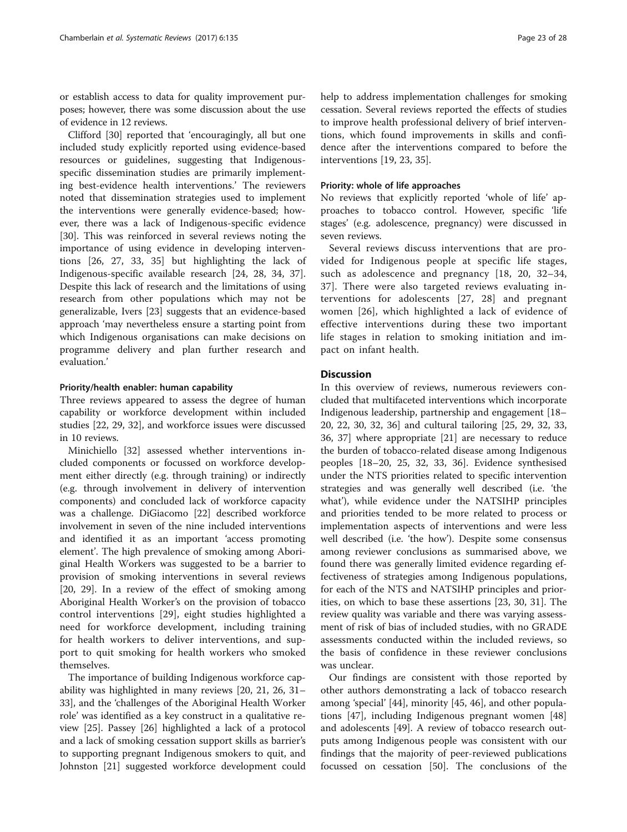or establish access to data for quality improvement purposes; however, there was some discussion about the use of evidence in 12 reviews.

Clifford [\[30](#page-26-0)] reported that 'encouragingly, all but one included study explicitly reported using evidence-based resources or guidelines, suggesting that Indigenousspecific dissemination studies are primarily implementing best-evidence health interventions.' The reviewers noted that dissemination strategies used to implement the interventions were generally evidence-based; however, there was a lack of Indigenous-specific evidence [[30\]](#page-26-0). This was reinforced in several reviews noting the importance of using evidence in developing interventions [[26, 27](#page-26-0), [33](#page-26-0), [35](#page-26-0)] but highlighting the lack of Indigenous-specific available research [[24, 28, 34, 37](#page-26-0)]. Despite this lack of research and the limitations of using research from other populations which may not be generalizable, Ivers [[23\]](#page-26-0) suggests that an evidence-based approach 'may nevertheless ensure a starting point from which Indigenous organisations can make decisions on programme delivery and plan further research and evaluation.'

## Priority/health enabler: human capability

Three reviews appeared to assess the degree of human capability or workforce development within included studies [\[22](#page-26-0), [29](#page-26-0), [32\]](#page-26-0), and workforce issues were discussed in 10 reviews.

Minichiello [[32](#page-26-0)] assessed whether interventions included components or focussed on workforce development either directly (e.g. through training) or indirectly (e.g. through involvement in delivery of intervention components) and concluded lack of workforce capacity was a challenge. DiGiacomo [\[22](#page-26-0)] described workforce involvement in seven of the nine included interventions and identified it as an important 'access promoting element'. The high prevalence of smoking among Aboriginal Health Workers was suggested to be a barrier to provision of smoking interventions in several reviews [[20, 29\]](#page-26-0). In a review of the effect of smoking among Aboriginal Health Worker's on the provision of tobacco control interventions [[29\]](#page-26-0), eight studies highlighted a need for workforce development, including training for health workers to deliver interventions, and support to quit smoking for health workers who smoked themselves.

The importance of building Indigenous workforce capability was highlighted in many reviews [[20, 21](#page-26-0), [26, 31](#page-26-0)– [33\]](#page-26-0), and the 'challenges of the Aboriginal Health Worker role' was identified as a key construct in a qualitative review [[25\]](#page-26-0). Passey [[26](#page-26-0)] highlighted a lack of a protocol and a lack of smoking cessation support skills as barrier's to supporting pregnant Indigenous smokers to quit, and Johnston [\[21](#page-26-0)] suggested workforce development could help to address implementation challenges for smoking cessation. Several reviews reported the effects of studies to improve health professional delivery of brief interventions, which found improvements in skills and confidence after the interventions compared to before the interventions [[19, 23](#page-26-0), [35](#page-26-0)].

## Priority: whole of life approaches

No reviews that explicitly reported 'whole of life' approaches to tobacco control. However, specific 'life stages' (e.g. adolescence, pregnancy) were discussed in seven reviews.

Several reviews discuss interventions that are provided for Indigenous people at specific life stages, such as adolescence and pregnancy [[18, 20](#page-26-0), [32](#page-26-0)–[34](#page-26-0), [37\]](#page-26-0). There were also targeted reviews evaluating interventions for adolescents [[27, 28\]](#page-26-0) and pregnant women [\[26](#page-26-0)], which highlighted a lack of evidence of effective interventions during these two important life stages in relation to smoking initiation and impact on infant health.

# **Discussion**

In this overview of reviews, numerous reviewers concluded that multifaceted interventions which incorporate Indigenous leadership, partnership and engagement [[18](#page-26-0)– [20, 22](#page-26-0), [30, 32, 36](#page-26-0)] and cultural tailoring [\[25](#page-26-0), [29, 32, 33](#page-26-0), [36, 37\]](#page-26-0) where appropriate [[21](#page-26-0)] are necessary to reduce the burden of tobacco-related disease among Indigenous peoples [\[18](#page-26-0)–[20, 25](#page-26-0), [32, 33](#page-26-0), [36\]](#page-26-0). Evidence synthesised under the NTS priorities related to specific intervention strategies and was generally well described (i.e. 'the what'), while evidence under the NATSIHP principles and priorities tended to be more related to process or implementation aspects of interventions and were less well described (i.e. 'the how'). Despite some consensus among reviewer conclusions as summarised above, we found there was generally limited evidence regarding effectiveness of strategies among Indigenous populations, for each of the NTS and NATSIHP principles and priorities, on which to base these assertions [\[23, 30](#page-26-0), [31\]](#page-26-0). The review quality was variable and there was varying assessment of risk of bias of included studies, with no GRADE assessments conducted within the included reviews, so the basis of confidence in these reviewer conclusions was unclear.

Our findings are consistent with those reported by other authors demonstrating a lack of tobacco research among 'special' [[44](#page-26-0)], minority [[45, 46](#page-26-0)], and other populations [[47\]](#page-26-0), including Indigenous pregnant women [[48](#page-26-0)] and adolescents [\[49\]](#page-26-0). A review of tobacco research outputs among Indigenous people was consistent with our findings that the majority of peer-reviewed publications focussed on cessation [[50\]](#page-26-0). The conclusions of the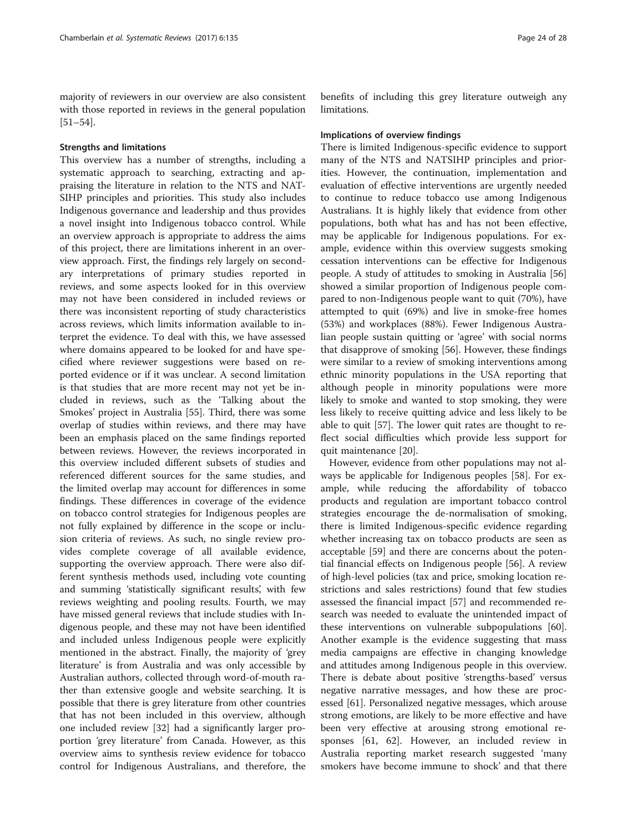majority of reviewers in our overview are also consistent with those reported in reviews in the general population [[51](#page-26-0)–[54](#page-26-0)].

# Strengths and limitations

This overview has a number of strengths, including a systematic approach to searching, extracting and appraising the literature in relation to the NTS and NAT-SIHP principles and priorities. This study also includes Indigenous governance and leadership and thus provides a novel insight into Indigenous tobacco control. While an overview approach is appropriate to address the aims of this project, there are limitations inherent in an overview approach. First, the findings rely largely on secondary interpretations of primary studies reported in reviews, and some aspects looked for in this overview may not have been considered in included reviews or there was inconsistent reporting of study characteristics across reviews, which limits information available to interpret the evidence. To deal with this, we have assessed where domains appeared to be looked for and have specified where reviewer suggestions were based on reported evidence or if it was unclear. A second limitation is that studies that are more recent may not yet be included in reviews, such as the 'Talking about the Smokes' project in Australia [\[55](#page-27-0)]. Third, there was some overlap of studies within reviews, and there may have been an emphasis placed on the same findings reported between reviews. However, the reviews incorporated in this overview included different subsets of studies and referenced different sources for the same studies, and the limited overlap may account for differences in some findings. These differences in coverage of the evidence on tobacco control strategies for Indigenous peoples are not fully explained by difference in the scope or inclusion criteria of reviews. As such, no single review provides complete coverage of all available evidence, supporting the overview approach. There were also different synthesis methods used, including vote counting and summing 'statistically significant results', with few reviews weighting and pooling results. Fourth, we may have missed general reviews that include studies with Indigenous people, and these may not have been identified and included unless Indigenous people were explicitly mentioned in the abstract. Finally, the majority of 'grey literature' is from Australia and was only accessible by Australian authors, collected through word-of-mouth rather than extensive google and website searching. It is possible that there is grey literature from other countries that has not been included in this overview, although one included review [\[32](#page-26-0)] had a significantly larger proportion 'grey literature' from Canada. However, as this overview aims to synthesis review evidence for tobacco control for Indigenous Australians, and therefore, the

benefits of including this grey literature outweigh any limitations.

#### Implications of overview findings

There is limited Indigenous-specific evidence to support many of the NTS and NATSIHP principles and priorities. However, the continuation, implementation and evaluation of effective interventions are urgently needed to continue to reduce tobacco use among Indigenous Australians. It is highly likely that evidence from other populations, both what has and has not been effective, may be applicable for Indigenous populations. For example, evidence within this overview suggests smoking cessation interventions can be effective for Indigenous people. A study of attitudes to smoking in Australia [[56](#page-27-0)] showed a similar proportion of Indigenous people compared to non-Indigenous people want to quit (70%), have attempted to quit (69%) and live in smoke-free homes (53%) and workplaces (88%). Fewer Indigenous Australian people sustain quitting or 'agree' with social norms that disapprove of smoking [[56\]](#page-27-0). However, these findings were similar to a review of smoking interventions among ethnic minority populations in the USA reporting that although people in minority populations were more likely to smoke and wanted to stop smoking, they were less likely to receive quitting advice and less likely to be able to quit [[57](#page-27-0)]. The lower quit rates are thought to reflect social difficulties which provide less support for quit maintenance [\[20\]](#page-26-0).

However, evidence from other populations may not always be applicable for Indigenous peoples [[58\]](#page-27-0). For example, while reducing the affordability of tobacco products and regulation are important tobacco control strategies encourage the de-normalisation of smoking, there is limited Indigenous-specific evidence regarding whether increasing tax on tobacco products are seen as acceptable [[59\]](#page-27-0) and there are concerns about the potential financial effects on Indigenous people [\[56](#page-27-0)]. A review of high-level policies (tax and price, smoking location restrictions and sales restrictions) found that few studies assessed the financial impact [\[57](#page-27-0)] and recommended research was needed to evaluate the unintended impact of these interventions on vulnerable subpopulations [\[60](#page-27-0)]. Another example is the evidence suggesting that mass media campaigns are effective in changing knowledge and attitudes among Indigenous people in this overview. There is debate about positive 'strengths-based' versus negative narrative messages, and how these are processed [[61](#page-27-0)]. Personalized negative messages, which arouse strong emotions, are likely to be more effective and have been very effective at arousing strong emotional responses [\[61, 62\]](#page-27-0). However, an included review in Australia reporting market research suggested 'many smokers have become immune to shock' and that there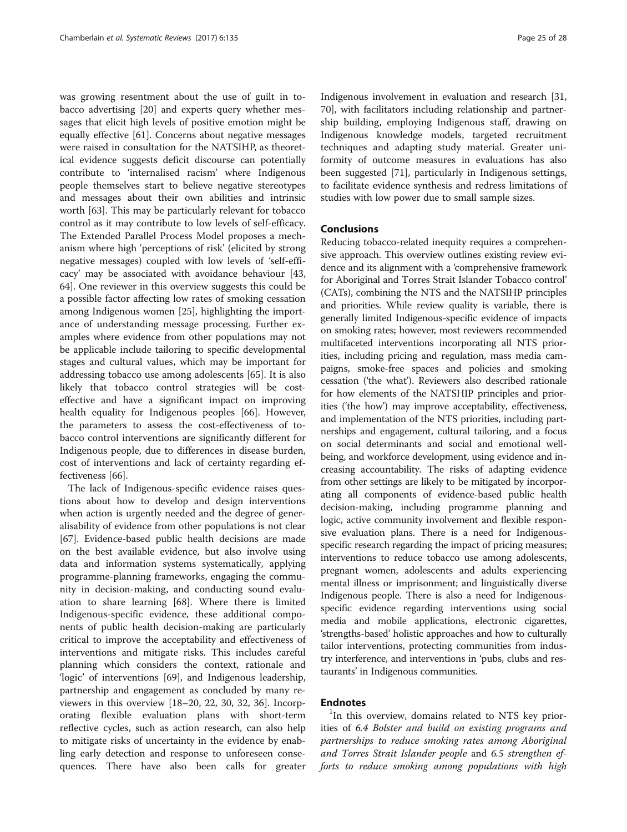was growing resentment about the use of guilt in tobacco advertising [[20\]](#page-26-0) and experts query whether messages that elicit high levels of positive emotion might be equally effective [\[61\]](#page-27-0). Concerns about negative messages were raised in consultation for the NATSIHP, as theoretical evidence suggests deficit discourse can potentially contribute to 'internalised racism' where Indigenous people themselves start to believe negative stereotypes and messages about their own abilities and intrinsic worth [\[63\]](#page-27-0). This may be particularly relevant for tobacco control as it may contribute to low levels of self-efficacy. The Extended Parallel Process Model proposes a mechanism where high 'perceptions of risk' (elicited by strong negative messages) coupled with low levels of 'self-efficacy' may be associated with avoidance behaviour [[43](#page-26-0), [64\]](#page-27-0). One reviewer in this overview suggests this could be a possible factor affecting low rates of smoking cessation among Indigenous women [[25](#page-26-0)], highlighting the importance of understanding message processing. Further examples where evidence from other populations may not be applicable include tailoring to specific developmental stages and cultural values, which may be important for addressing tobacco use among adolescents [[65\]](#page-27-0). It is also likely that tobacco control strategies will be costeffective and have a significant impact on improving health equality for Indigenous peoples [[66\]](#page-27-0). However, the parameters to assess the cost-effectiveness of tobacco control interventions are significantly different for Indigenous people, due to differences in disease burden, cost of interventions and lack of certainty regarding effectiveness [[66](#page-27-0)].

The lack of Indigenous-specific evidence raises questions about how to develop and design interventions when action is urgently needed and the degree of generalisability of evidence from other populations is not clear [[67\]](#page-27-0). Evidence-based public health decisions are made on the best available evidence, but also involve using data and information systems systematically, applying programme-planning frameworks, engaging the community in decision-making, and conducting sound evaluation to share learning [[68](#page-27-0)]. Where there is limited Indigenous-specific evidence, these additional components of public health decision-making are particularly critical to improve the acceptability and effectiveness of interventions and mitigate risks. This includes careful planning which considers the context, rationale and 'logic' of interventions [\[69](#page-27-0)], and Indigenous leadership, partnership and engagement as concluded by many reviewers in this overview [\[18](#page-26-0)–[20, 22](#page-26-0), [30, 32](#page-26-0), [36\]](#page-26-0). Incorporating flexible evaluation plans with short-term reflective cycles, such as action research, can also help to mitigate risks of uncertainty in the evidence by enabling early detection and response to unforeseen consequences. There have also been calls for greater Indigenous involvement in evaluation and research [[31](#page-26-0), [70\]](#page-27-0), with facilitators including relationship and partnership building, employing Indigenous staff, drawing on Indigenous knowledge models, targeted recruitment techniques and adapting study material. Greater uniformity of outcome measures in evaluations has also been suggested [[71](#page-27-0)], particularly in Indigenous settings, to facilitate evidence synthesis and redress limitations of studies with low power due to small sample sizes.

# **Conclusions**

Reducing tobacco-related inequity requires a comprehensive approach. This overview outlines existing review evidence and its alignment with a 'comprehensive framework for Aboriginal and Torres Strait Islander Tobacco control' (CATs), combining the NTS and the NATSIHP principles and priorities. While review quality is variable, there is generally limited Indigenous-specific evidence of impacts on smoking rates; however, most reviewers recommended multifaceted interventions incorporating all NTS priorities, including pricing and regulation, mass media campaigns, smoke-free spaces and policies and smoking cessation ('the what'). Reviewers also described rationale for how elements of the NATSHIP principles and priorities ('the how') may improve acceptability, effectiveness, and implementation of the NTS priorities, including partnerships and engagement, cultural tailoring, and a focus on social determinants and social and emotional wellbeing, and workforce development, using evidence and increasing accountability. The risks of adapting evidence from other settings are likely to be mitigated by incorporating all components of evidence-based public health decision-making, including programme planning and logic, active community involvement and flexible responsive evaluation plans. There is a need for Indigenousspecific research regarding the impact of pricing measures; interventions to reduce tobacco use among adolescents, pregnant women, adolescents and adults experiencing mental illness or imprisonment; and linguistically diverse Indigenous people. There is also a need for Indigenousspecific evidence regarding interventions using social media and mobile applications, electronic cigarettes, 'strengths-based' holistic approaches and how to culturally tailor interventions, protecting communities from industry interference, and interventions in 'pubs, clubs and restaurants' in Indigenous communities.

# **Endnotes**

<sup>1</sup>In this overview, domains related to NTS key priorities of 6.4 Bolster and build on existing programs and partnerships to reduce smoking rates among Aboriginal and Torres Strait Islander people and 6.5 strengthen efforts to reduce smoking among populations with high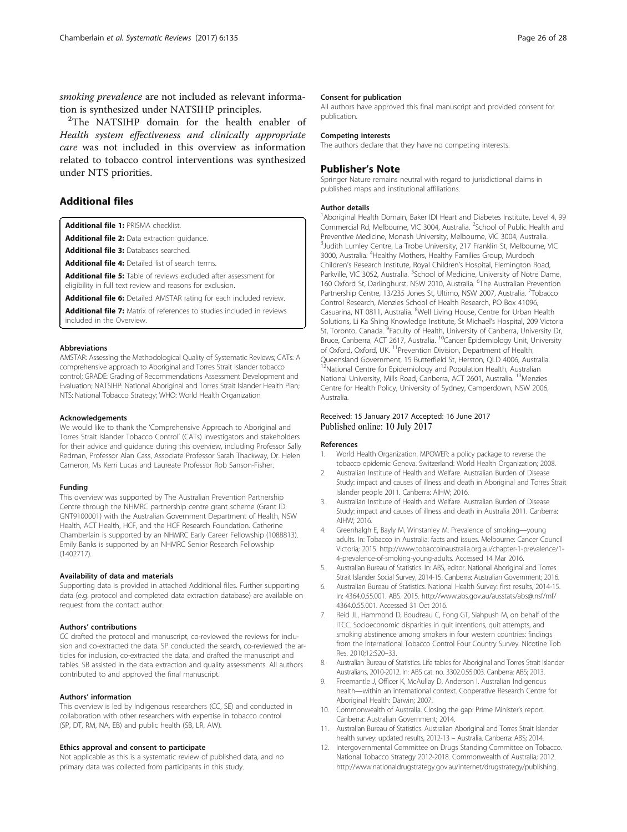<span id="page-25-0"></span>smoking prevalence are not included as relevant information is synthesized under NATSIHP principles. <sup>2</sup>

<sup>2</sup>The NATSIHP domain for the health enabler of Health system effectiveness and clinically appropriate care was not included in this overview as information related to tobacco control interventions was synthesized under NTS priorities.

# Additional files

[Additional file 1:](dx.doi.org/10.1186/s13643-017-0520-9) PRISMA checklist.

[Additional file 2:](dx.doi.org/10.1186/s13643-017-0520-9) Data extraction quidance.

[Additional file 3:](dx.doi.org/10.1186/s13643-017-0520-9) Databases searched.

[Additional file 4:](dx.doi.org/10.1186/s13643-017-0520-9) Detailed list of search terms.

[Additional file 5:](dx.doi.org/10.1186/s13643-017-0520-9) Table of reviews excluded after assessment for eligibility in full text review and reasons for exclusion.

[Additional file 6:](dx.doi.org/10.1186/s13643-017-0520-9) Detailed AMSTAR rating for each included review.

[Additional file 7:](dx.doi.org/10.1186/s13643-017-0520-9) Matrix of references to studies included in reviews included in the Overview.

#### Abbreviations

AMSTAR: Assessing the Methodological Quality of Systematic Reviews; CATs: A comprehensive approach to Aboriginal and Torres Strait Islander tobacco control; GRADE: Grading of Recommendations Assessment Development and Evaluation; NATSIHP: National Aboriginal and Torres Strait Islander Health Plan; NTS: National Tobacco Strategy; WHO: World Health Organization

#### Acknowledgements

We would like to thank the 'Comprehensive Approach to Aboriginal and Torres Strait Islander Tobacco Control' (CATs) investigators and stakeholders for their advice and guidance during this overview, including Professor Sally Redman, Professor Alan Cass, Associate Professor Sarah Thackway, Dr. Helen Cameron, Ms Kerri Lucas and Laureate Professor Rob Sanson-Fisher.

#### Funding

This overview was supported by The Australian Prevention Partnership Centre through the NHMRC partnership centre grant scheme (Grant ID: GNT9100001) with the Australian Government Department of Health, NSW Health, ACT Health, HCF, and the HCF Research Foundation. Catherine Chamberlain is supported by an NHMRC Early Career Fellowship (1088813). Emily Banks is supported by an NHMRC Senior Research Fellowship (1402717).

#### Availability of data and materials

Supporting data is provided in attached Additional files. Further supporting data (e.g. protocol and completed data extraction database) are available on request from the contact author.

#### Authors' contributions

CC drafted the protocol and manuscript, co-reviewed the reviews for inclusion and co-extracted the data. SP conducted the search, co-reviewed the articles for inclusion, co-extracted the data, and drafted the manuscript and tables. SB assisted in the data extraction and quality assessments. All authors contributed to and approved the final manuscript.

#### Authors' information

This overview is led by Indigenous researchers (CC, SE) and conducted in collaboration with other researchers with expertise in tobacco control (SP, DT, RM, NA, EB) and public health (SB, LR, AW).

#### Ethics approval and consent to participate

Not applicable as this is a systematic review of published data, and no primary data was collected from participants in this study.

#### Consent for publication

All authors have approved this final manuscript and provided consent for publication.

#### Competing interests

The authors declare that they have no competing interests.

## Publisher's Note

Springer Nature remains neutral with regard to jurisdictional claims in published maps and institutional affiliations.

#### Author details

<sup>1</sup> Aboriginal Health Domain, Baker IDI Heart and Diabetes Institute, Level 4, 99 Commercial Rd, Melbourne, VIC 3004, Australia. <sup>2</sup>School of Public Health and Preventive Medicine, Monash University, Melbourne, VIC 3004, Australia. <sup>3</sup>Judith Lumley Centre, La Trobe University, 217 Franklin St, Melbourne, VIC 3000, Australia. <sup>4</sup> Healthy Mothers, Healthy Families Group, Murdoch Children's Research Institute, Royal Children's Hospital, Flemington Road, Parkville, VIC 3052, Australia. <sup>5</sup>School of Medicine, University of Notre Dame, 160 Oxford St, Darlinghurst, NSW 2010, Australia. <sup>6</sup>The Australian Prevention Partnership Centre, 13/235 Jones St, Ultimo, NSW 2007, Australia. <sup>7</sup>Tobacco Control Research, Menzies School of Health Research, PO Box 41096, Casuarina, NT 0811, Australia. <sup>8</sup>Well Living House, Centre for Urban Health Solutions, Li Ka Shing Knowledge Institute, St Michael's Hospital, 209 Victoria St, Toronto, Canada. <sup>9</sup> Faculty of Health, University of Canberra, University Dr Bruce, Canberra, ACT 2617, Australia. <sup>10</sup>Cancer Epidemiology Unit, University of Oxford, Oxford, UK. 11Prevention Division, Department of Health, Queensland Government, 15 Butterfield St, Herston, QLD 4006, Australia. <sup>12</sup>National Centre for Epidemiology and Population Health, Australian National University, Mills Road, Canberra, ACT 2601, Australia. <sup>13</sup>Menzies Centre for Health Policy, University of Sydney, Camperdown, NSW 2006, Australia.

## Received: 15 January 2017 Accepted: 16 June 2017 Published online: 10 July 2017

#### References

- World Health Organization. MPOWER: a policy package to reverse the tobacco epidemic Geneva. Switzerland: World Health Organization; 2008.
- 2. Australian Institute of Health and Welfare. Australian Burden of Disease Study: impact and causes of illness and death in Aboriginal and Torres Strait Islander people 2011. Canberra: AIHW; 2016.
- 3. Australian Institute of Health and Welfare. Australian Burden of Disease Study: impact and causes of illness and death in Australia 2011. Canberra: AIHW; 2016.
- 4. Greenhalgh E, Bayly M, Winstanley M. Prevalence of smoking—young adults. In: Tobacco in Australia: facts and issues. Melbourne: Cancer Council Victoria; 2015. [http://www.tobaccoinaustralia.org.au/chapter-1-prevalence/1-](http://www.tobaccoinaustralia.org.au/chapter-1-prevalence/1-4-prevalence-of-smoking-young-adults) [4-prevalence-of-smoking-young-adults.](http://www.tobaccoinaustralia.org.au/chapter-1-prevalence/1-4-prevalence-of-smoking-young-adults) Accessed 14 Mar 2016.
- 5. Australian Bureau of Statistics. In: ABS, editor. National Aboriginal and Torres Strait Islander Social Survey, 2014-15. Canberra: Australian Government; 2016.
- 6. Australian Bureau of Statistics. National Health Survey: first results, 2014-15. In: 4364.0.55.001. ABS. 2015. [http://www.abs.gov.au/ausstats/abs@.nsf/mf/](http://www.abs.gov.au/ausstats/abs@.nsf/mf/4364.0.55.001) [4364.0.55.001](http://www.abs.gov.au/ausstats/abs@.nsf/mf/4364.0.55.001). Accessed 31 Oct 2016.
- 7. Reid JL, Hammond D, Boudreau C, Fong GT, Siahpush M, on behalf of the ITCC. Socioeconomic disparities in quit intentions, quit attempts, and smoking abstinence among smokers in four western countries: findings from the International Tobacco Control Four Country Survey. Nicotine Tob Res. 2010;12:S20–33.
- 8. Australian Bureau of Statistics. Life tables for Aboriginal and Torres Strait Islander Australians, 2010-2012. In: ABS cat. no. 3302.0.55.003. Canberra: ABS; 2013.
- Freemantle J, Officer K, McAullay D, Anderson I. Australian Indigenous health—within an international context. Cooperative Research Centre for Aboriginal Health: Darwin; 2007.
- 10. Commonwealth of Australia. Closing the gap: Prime Minister's report. Canberra: Australian Government; 2014.
- 11. Australian Bureau of Statistics. Australian Aboriginal and Torres Strait Islander health survey: updated results, 2012-13 – Australia. Canberra: ABS; 2014.
- 12. Intergovernmental Committee on Drugs Standing Committee on Tobacco. National Tobacco Strategy 2012-2018. Commonwealth of Australia; 2012. [http://www.nationaldrugstrategy.gov.au/internet/drugstrategy/publishing.](http://www.nationaldrugstrategy.gov.au/internet/drugstrategy/publishing.nsf/Content/D4E3727950BDBAE4CA257AE70003730C/File/National%20Tobacco%20Strategy%202012-2018.pdf)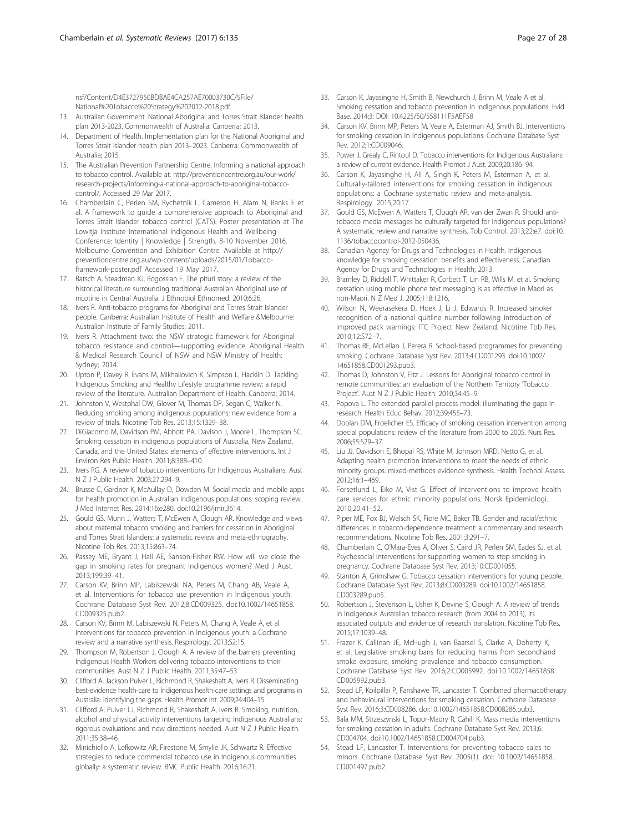<span id="page-26-0"></span>[nsf/Content/D4E3727950BDBAE4CA257AE70003730C/\\$File/](http://www.nationaldrugstrategy.gov.au/internet/drugstrategy/publishing.nsf/Content/D4E3727950BDBAE4CA257AE70003730C/File/National%20Tobacco%20Strategy%202012-2018.pdf) [National%20Tobacco%20Strategy%202012-2018.pdf.](http://www.nationaldrugstrategy.gov.au/internet/drugstrategy/publishing.nsf/Content/D4E3727950BDBAE4CA257AE70003730C/File/National%20Tobacco%20Strategy%202012-2018.pdf)

- 13. Australian Government. National Aboriginal and Torres Strait Islander health plan 2013-2023. Commonwealth of Australia: Canberra; 2013.
- 14. Department of Health. Implementation plan for the National Aboriginal and Torres Strait Islander health plan 2013–2023. Canberra: Commonwealth of Australia; 2015.
- 15. The Australian Prevention Partnership Centre. Informing a national approach to tobacco control. Available at: [http://preventioncentre.org.au/our-work/](http://preventioncentre.org.au/our-work/research-projects/informing-a-national-approach-to-aboriginal-tobacco-control/) [research-projects/informing-a-national-approach-to-aboriginal-tobacco](http://preventioncentre.org.au/our-work/research-projects/informing-a-national-approach-to-aboriginal-tobacco-control/)[control/](http://preventioncentre.org.au/our-work/research-projects/informing-a-national-approach-to-aboriginal-tobacco-control/). Accessed 29 Mar 2017.
- 16. Chamberlain C, Perlen SM, Rychetnik L, Cameron H, Alam N, Banks E et al. A framework to guide a comprehensive approach to Aboriginal and Torres Strait Islander tobacco control (CATS). Poster presentation at The Lowitja Institute International Indigenous Health and Wellbeing Conference: Identity | Knowledge | Strength. 8-10 November 2016. Melbourne Convention and Exhibition Centre. Available at [http://](http://preventioncentre.org.au/wp-content/uploads/2015/01/Tobacco-framework-poster.pdf) [preventioncentre.org.au/wp-content/uploads/2015/01/Tobacco](http://preventioncentre.org.au/wp-content/uploads/2015/01/Tobacco-framework-poster.pdf)[framework-poster.pdf](http://preventioncentre.org.au/wp-content/uploads/2015/01/Tobacco-framework-poster.pdf) Accessed 19 May 2017.
- 17. Ratsch A, Steadman KJ, Bogossian F. The pituri story: a review of the historical literature surrounding traditional Australian Aboriginal use of nicotine in Central Australia. J Ethnobiol Ethnomed. 2010;6:26.
- 18. Ivers R. Anti-tobacco programs for Aboriginal and Torres Strait Islander people. Canberra: Australian Institute of Health and Welfare &Melbourne: Australian Institute of Family Studies; 2011.
- 19. Ivers R. Attachment two: the NSW strategic framework for Aboriginal tobacco resistance and control—supporting evidence. Aboriginal Health & Medical Research Council of NSW and NSW Ministry of Health: Sydney; 2014.
- 20. Upton P, Davey R, Evans M, Mikhailovich K, Simpson L, Hacklin D. Tackling Indigenous Smoking and Healthy Lifestyle programme review: a rapid review of the literature. Australian Department of Health: Canberra; 2014.
- 21. Johnston V, Westphal DW, Glover M, Thomas DP, Segan C, Walker N. Reducing smoking among indigenous populations: new evidence from a review of trials. Nicotine Tob Res. 2013;15:1329–38.
- 22. DiGiacomo M, Davidson PM, Abbott PA, Davison J, Moore L, Thompson SC. Smoking cessation in indigenous populations of Australia, New Zealand, Canada, and the United States: elements of effective interventions. Int J Environ Res Public Health. 2011;8:388–410.
- 23. Ivers RG. A review of tobacco interventions for Indigenous Australians. Aust N Z J Public Health. 2003;27:294–9.
- 24. Brusse C, Gardner K, McAullay D, Dowden M. Social media and mobile apps for health promotion in Australian Indigenous populations: scoping review. J Med Internet Res. 2014;16:e280. doi:[10.2196/jmir.3614](http://dx.doi.org/10.2196/jmir.3614).
- 25. Gould GS, Munn J, Watters T, McEwen A, Clough AR. Knowledge and views about maternal tobacco smoking and barriers for cessation in Aboriginal and Torres Strait Islanders: a systematic review and meta-ethnography. Nicotine Tob Res. 2013;15:863–74.
- 26. Passey ME, Bryant J, Hall AE, Sanson-Fisher RW. How will we close the gap in smoking rates for pregnant Indigenous women? Med J Aust. 2013;199:39–41.
- 27. Carson KV, Brinn MP, Labiszewski NA, Peters M, Chang AB, Veale A, et al. Interventions for tobacco use prevention in Indigenous youth. Cochrane Database Syst Rev. 2012;8:CD009325. doi:[10.1002/14651858.](http://dx.doi.org/10.1002/14651858.CD009325.pub2) [CD009325.pub2.](http://dx.doi.org/10.1002/14651858.CD009325.pub2)
- 28. Carson KV, Brinn M, Labiszewski N, Peters M, Chang A, Veale A, et al. Interventions for tobacco prevention in Indigenous youth: a Cochrane review and a narrative synthesis. Respirology. 2013;S2:15.
- 29. Thompson M, Robertson J, Clough A. A review of the barriers preventing Indigenous Health Workers delivering tobacco interventions to their communities. Aust N Z J Public Health. 2011;35:47–53.
- 30. Clifford A, Jackson Pulver L, Richmond R, Shakeshaft A, Ivers R. Disseminating best-evidence health-care to Indigenous health-care settings and programs in Australia: identifying the gaps. Health Promot Int. 2009;24:404–15.
- 31. Clifford A, Pulver LJ, Richmond R, Shakeshaft A, Ivers R. Smoking, nutrition, alcohol and physical activity interventions targeting Indigenous Australians: rigorous evaluations and new directions needed. Aust N Z J Public Health. 2011;35:38–46.
- 32. Minichiello A, Lefkowitz AR, Firestone M, Smylie JK, Schwartz R. Effective strategies to reduce commercial tobacco use in Indigenous communities globally: a systematic review. BMC Public Health. 2016;16:21.
- 33. Carson K, Jayasinghe H, Smith B, Newchurch J, Brinn M, Veale A et al. Smoking cessation and tobacco prevention in Indigenous populations. Evid Base. 2014;3: DOI: [10.4225/50/558111F5AEF58](http://dx.doi.org/10.4225/50/558111F5AEF58)
- 34. Carson KV, Brinn MP, Peters M, Veale A, Esterman AJ, Smith BJ. Interventions for smoking cessation in Indigenous populations. Cochrane Database Syst Rev. 2012;1:CD009046.
- 35. Power J, Grealy C, Rintoul D. Tobacco interventions for Indigenous Australians: a review of current evidence. Health Promot J Aust. 2009;20:186–94.
- 36. Carson K, Jayasinghe H, Ali A, Singh K, Peters M, Esterman A, et al. Culturally-tailored interventions for smoking cessation in indigenous populations: a Cochrane systematic review and meta-analysis. Respirology. 2015;20:17.
- 37. Gould GS, McEwen A, Watters T, Clough AR, van der Zwan R. Should antitobacco media messages be culturally targeted for Indigenous populations? A systematic review and narrative synthesis. Tob Control. 2013;22:e7. doi:[10.](http://dx.doi.org/10.1136/tobaccocontrol-2012-050436) [1136/tobaccocontrol-2012-050436](http://dx.doi.org/10.1136/tobaccocontrol-2012-050436).
- 38. Canadian Agency for Drugs and Technologies in Health. Indigenous knowledge for smoking cessation: benefits and effectiveness. Canadian Agency for Drugs and Technologies in Health; 2013.
- 39. Bramley D, Riddell T, Whittaker R, Corbett T, Lin RB, Wills M, et al. Smoking cessation using mobile phone text messaging is as effective in Maori as non-Maori. N Z Med J. 2005;118:1216.
- 40. Wilson N, Weerasekera D, Hoek J, Li J, Edwards R. Increased smoker recognition of a national quitline number following introduction of improved pack warnings: ITC Project New Zealand. Nicotine Tob Res. 2010;12:S72–7.
- 41. Thomas RE, McLellan J, Perera R. School-based programmes for preventing smoking. Cochrane Database Syst Rev. 2013;4:CD001293. doi:[10.1002/](http://dx.doi.org/10.1002/14651858.CD001293.pub3) [14651858.CD001293.pub3](http://dx.doi.org/10.1002/14651858.CD001293.pub3).
- 42. Thomas D, Johnston V, Fitz J. Lessons for Aboriginal tobacco control in remote communities: an evaluation of the Northern Territory 'Tobacco Project'. Aust N Z J Public Health. 2010;34:45–9.
- 43. Popova L. The extended parallel process model: illuminating the gaps in research. Health Educ Behav. 2012;39:455–73.
- 44. Doolan DM, Froelicher ES. Efficacy of smoking cessation intervention among special populations: review of the literature from 2000 to 2005. Nurs Res. 2006;55:S29–37.
- 45. Liu JJ, Davidson E, Bhopal RS, White M, Johnson MRD, Netto G, et al. Adapting health promotion interventions to meet the needs of ethnic minority groups: mixed-methods evidence synthesis. Health Technol Assess. 2012;16:1–469.
- 46. Forsetlund L, Eike M, Vist G. Effect of interventions to improve health care services for ethnic minority populations. Norsk Epidemiologi. 2010;20:41–52.
- 47. Piper ME, Fox BJ, Welsch SK, Fiore MC, Baker TB. Gender and racial/ethnic differences in tobacco-dependence treatment: a commentary and research recommendations. Nicotine Tob Res. 2001;3:291–7.
- 48. Chamberlain C, O'Mara-Eves A, Oliver S, Caird JR, Perlen SM, Eades SJ, et al. Psychosocial interventions for supporting women to stop smoking in pregnancy. Cochrane Database Syst Rev. 2013;10:CD001055.
- 49. Stanton A, Grimshaw G. Tobacco cessation interventions for young people. Cochrane Database Syst Rev. 2013;8:CD003289. doi[:10.1002/14651858.](http://dx.doi.org/10.1002/14651858.CD003289.pub5) [CD003289.pub5.](http://dx.doi.org/10.1002/14651858.CD003289.pub5)
- 50. Robertson J, Stevenson L, Usher K, Devine S, Clough A. A review of trends in Indigenous Australian tobacco research (from 2004 to 2013), its associated outputs and evidence of research translation. Nicotine Tob Res. 2015;17:1039–48.
- 51. Frazer K, Callinan JE, McHugh J, van Baarsel S, Clarke A, Doherty K, et al. Legislative smoking bans for reducing harms from secondhand smoke exposure, smoking prevalence and tobacco consumption. Cochrane Database Syst Rev. 2016;2:CD005992. doi:[10.1002/14651858.](http://dx.doi.org/10.1002/14651858.CD005992.pub3) [CD005992.pub3](http://dx.doi.org/10.1002/14651858.CD005992.pub3).
- 52. Stead LF, Koilpillai P, Fanshawe TR, Lancaster T. Combined pharmacotherapy and behavioural interventions for smoking cessation. Cochrane Database Syst Rev. 2016;3:CD008286. doi:[10.1002/14651858.CD008286.pub3](http://dx.doi.org/10.1002/14651858.CD008286.pub3).
- 53. Bala MM, Strzeszynski L, Topor-Madry R, Cahill K. Mass media interventions for smoking cessation in adults. Cochrane Database Syst Rev. 2013;6: CD004704. doi[:10.1002/14651858.CD004704.pub3](http://dx.doi.org/10.1002/14651858.CD004704.pub3).
- 54. Stead LF, Lancaster T. Interventions for preventing tobacco sales to minors. Cochrane Database Syst Rev. 2005(1). doi: [10.1002/14651858.](http://dx.doi.org/10.1002/14651858.CD001497.pub2) [CD001497.pub2](http://dx.doi.org/10.1002/14651858.CD001497.pub2).